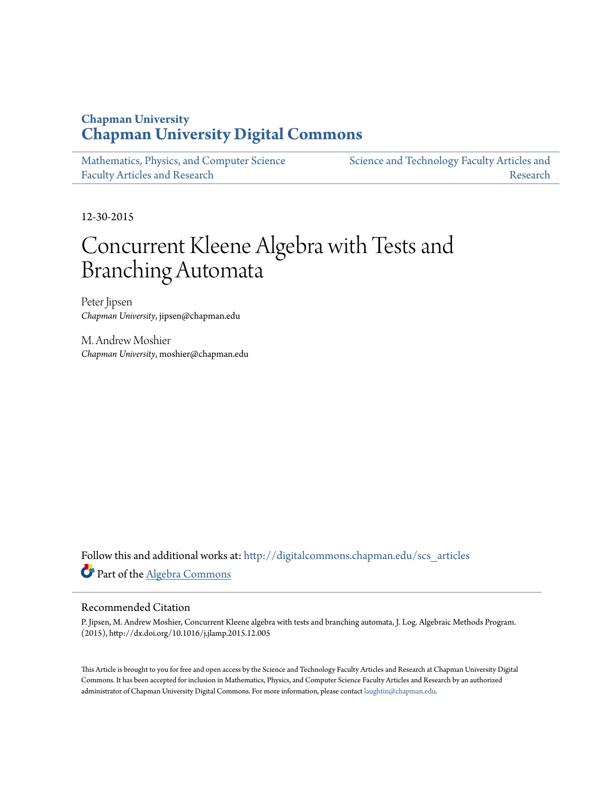# **Chapman University [Chapman University Digital Commons](http://digitalcommons.chapman.edu?utm_source=digitalcommons.chapman.edu%2Fscs_articles%2F325&utm_medium=PDF&utm_campaign=PDFCoverPages)**

[Mathematics, Physics, and Computer Science](http://digitalcommons.chapman.edu/scs_articles?utm_source=digitalcommons.chapman.edu%2Fscs_articles%2F325&utm_medium=PDF&utm_campaign=PDFCoverPages) [Faculty Articles and Research](http://digitalcommons.chapman.edu/scs_articles?utm_source=digitalcommons.chapman.edu%2Fscs_articles%2F325&utm_medium=PDF&utm_campaign=PDFCoverPages)

[Science and Technology Faculty Articles and](http://digitalcommons.chapman.edu/science_articles?utm_source=digitalcommons.chapman.edu%2Fscs_articles%2F325&utm_medium=PDF&utm_campaign=PDFCoverPages) [Research](http://digitalcommons.chapman.edu/science_articles?utm_source=digitalcommons.chapman.edu%2Fscs_articles%2F325&utm_medium=PDF&utm_campaign=PDFCoverPages)

12-30-2015

# Concurrent Kleene Algebra with Tests and Branching Automata

Peter Jipsen *Chapman University*, jipsen@chapman.edu

M. Andrew Moshier *Chapman University*, moshier@chapman.edu

Follow this and additional works at: [http://digitalcommons.chapman.edu/scs\\_articles](http://digitalcommons.chapman.edu/scs_articles?utm_source=digitalcommons.chapman.edu%2Fscs_articles%2F325&utm_medium=PDF&utm_campaign=PDFCoverPages) Part of the [Algebra Commons](http://network.bepress.com/hgg/discipline/175?utm_source=digitalcommons.chapman.edu%2Fscs_articles%2F325&utm_medium=PDF&utm_campaign=PDFCoverPages)

### Recommended Citation

P. Jipsen, M. Andrew Moshier, Concurrent Kleene algebra with tests and branching automata, J. Log. Algebraic Methods Program. (2015), http://dx.doi.org/10.1016/j.jlamp.2015.12.005

This Article is brought to you for free and open access by the Science and Technology Faculty Articles and Research at Chapman University Digital Commons. It has been accepted for inclusion in Mathematics, Physics, and Computer Science Faculty Articles and Research by an authorized administrator of Chapman University Digital Commons. For more information, please contact [laughtin@chapman.edu.](mailto:laughtin@chapman.edu)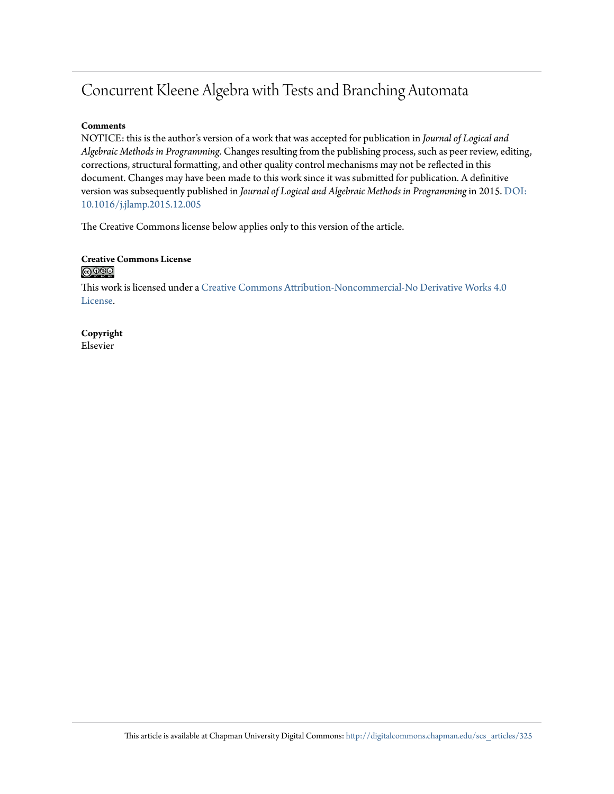# Concurrent Kleene Algebra with Tests and Branching Automata

### **Comments**

NOTICE: this is the author's version of a work that was accepted for publication in *Journal of Logical and Algebraic Methods in Programming*. Changes resulting from the publishing process, such as peer review, editing, corrections, structural formatting, and other quality control mechanisms may not be reflected in this document. Changes may have been made to this work since it was submitted for publication. A definitive version was subsequently published in *Journal of Logical and Algebraic Methods in Programming*in 2015. [DOI:](http://dx.doi.org/10.1016/j.jlamp.2015.12.005) [10.1016/j.jlamp.2015.12.005](http://dx.doi.org/10.1016/j.jlamp.2015.12.005)

The Creative Commons license below applies only to this version of the article.

### **Creative Commons License** <u>@0®ම</u>

This work is licensed under a [Creative Commons Attribution-Noncommercial-No Derivative Works 4.0](http://creativecommons.org/licenses/by-nc-nd/4.0/) [License.](http://creativecommons.org/licenses/by-nc-nd/4.0/)

**Copyright** Elsevier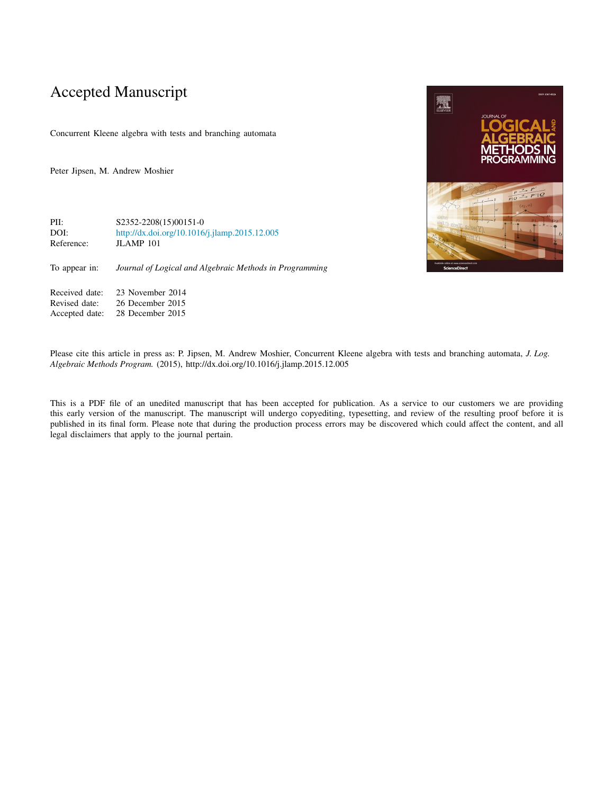# Accepted Manuscript

Concurrent Kleene algebra with tests and branching automata

Peter Jipsen, M. Andrew Moshier

PII: S2352-2208(15)00151-0<br>DOI: http://dx.doi.org/10.1016 <http://dx.doi.org/10.1016/j.jlamp.2015.12.005> Reference: JLAMP 101

To appear in: *Journal of Logical and Algebraic Methods in Programming*

Received date: 23 November 2014<br>Revised date: 26 December 2015 Revised date: 26 December 2015<br>Accepted date: 28 December 2015 28 December 2015

**AN** 

Please cite this article in press as: P. Jipsen, M. Andrew Moshier, Concurrent Kleene algebra with tests and branching automata, *J. Log. Algebraic Methods Program.* (2015), http://dx.doi.org/10.1016/j.jlamp.2015.12.005

This is a PDF file of an unedited manuscript that has been accepted for publication. As a service to our customers we are providing this early version of the manuscript. The manuscript will undergo copyediting, typesetting, and review of the resulting proof before it is published in its final form. Please note that during the production process errors may be discovered which could affect the content, and all legal disclaimers that apply to the journal pertain.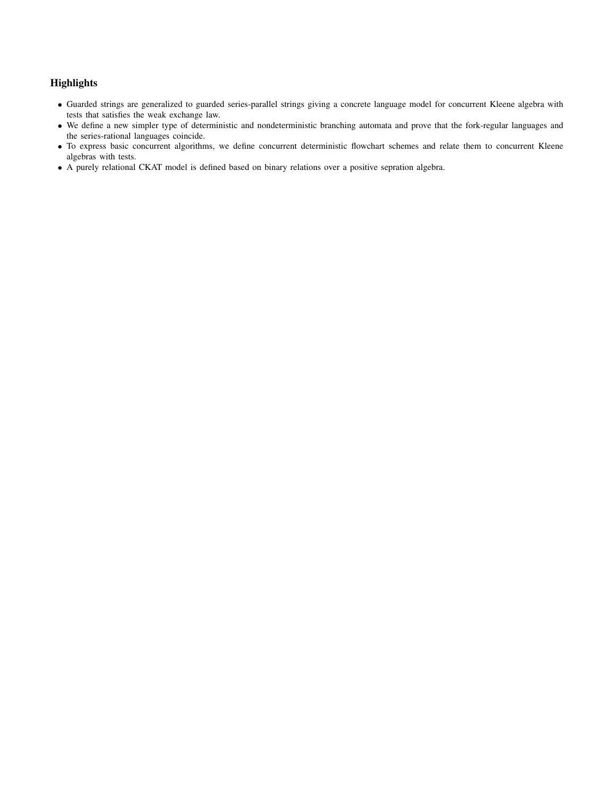## **Highlights**

- Guarded strings are generalized to guarded series-parallel strings giving a concrete language model for concurrent Kleene algebra with tests that satisfies the weak exchange law.
- We define a new simpler type of deterministic and nondeterministic branching automata and prove that the fork-regular languages and the series-rational languages coincide.
- To express basic concurrent algorithms, we define concurrent deterministic flowchart schemes and relate them to concurrent Kleene algebras with tests.
- A purely relational CKAT model is defined based on binary relations over a positive sepration algebra.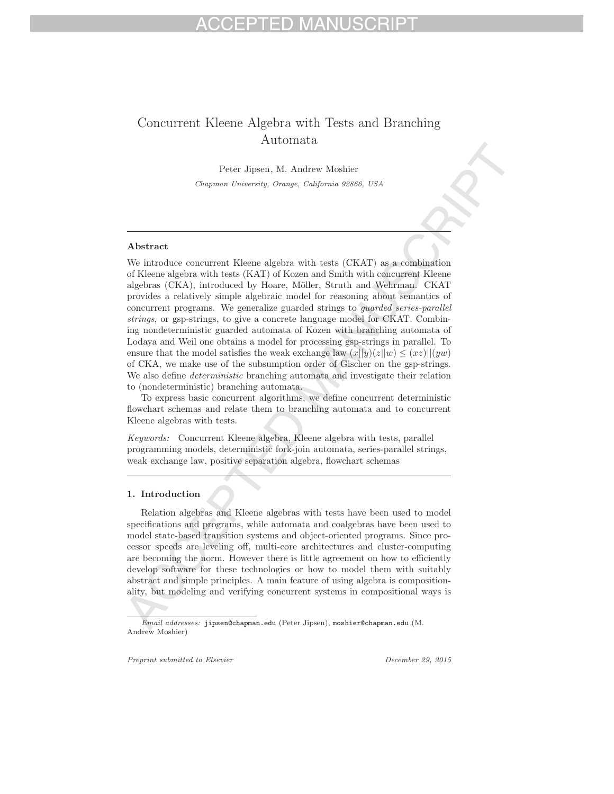# Concurrent Kleene Algebra with Tests and Branching Automata

Peter Jipsen, M. Andrew Moshier *Chapman University, Orange, California 92866, USA*

### Abstract

We introduce concurrent Kleene algebra with tests (CKAT) as a combination of Kleene algebra with tests (KAT) of Kozen and Smith with concurrent Kleene algebras (CKA), introduced by Hoare, Möller, Struth and Wehrman. CKAT provides a relatively simple algebraic model for reasoning about semantics of concurrent programs. We generalize guarded strings to *guarded series-parallel strings*, or gsp-strings, to give a concrete language model for CKAT. Combining nondeterministic guarded automata of Kozen with branching automata of Lodaya and Weil one obtains a model for processing gsp-strings in parallel. To ensure that the model satisfies the weak exchange law  $(x||y)(z||w) \leq (xz)||(yw)$ of CKA, we make use of the subsumption order of Gischer on the gsp-strings. We also define *deterministic* branching automata and investigate their relation to (nondeterministic) branching automata.

To express basic concurrent algorithms, we define concurrent deterministic flowchart schemas and relate them to branching automata and to concurrent Kleene algebras with tests.

*Keywords:* Concurrent Kleene algebra, Kleene algebra with tests, parallel programming models, deterministic fork-join automata, series-parallel strings, weak exchange law, positive separation algebra, flowchart schemas

### 1. Introduction

Relation algebras and Kleene algebras with tests have been used to model specifications and programs, while automata and coalgebras have been used to model state-based transition systems and object-oriented programs. Since processor speeds are leveling off, multi-core architectures and cluster-computing are becoming the norm. However there is little agreement on how to efficiently develop software for these technologies or how to model them with suitably abstract and simple principles. A main feature of using algebra is compositionality, but modeling and verifying concurrent systems in compositional ways is

*Preprint submitted to Elsevier December 29, 2015*

*Email addresses:* jipsen@chapman.edu (Peter Jipsen), moshier@chapman.edu (M. Andrew Moshier)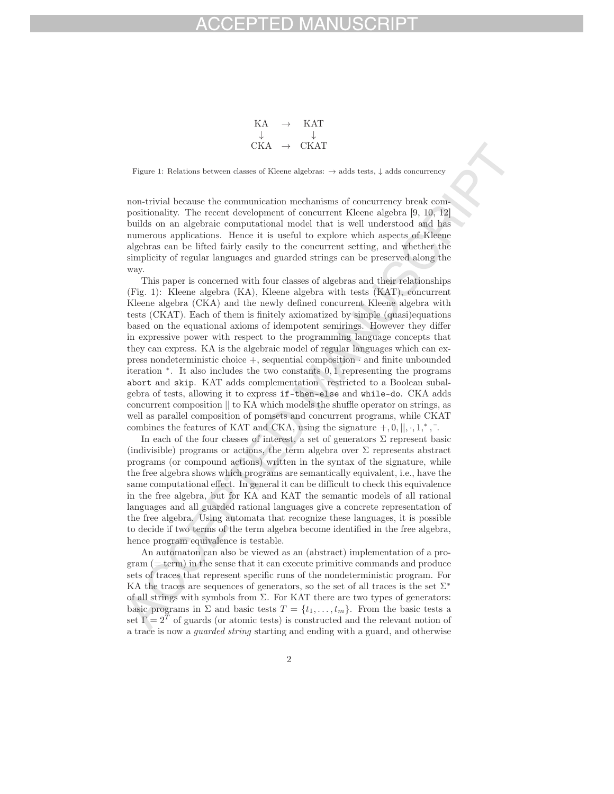$$
\begin{array}{ccc} \text{KA} & \rightarrow & \text{KAT} \\ \downarrow & & \downarrow \\ \text{CKA} & \rightarrow & \text{CKAT} \end{array}
$$

Figure 1: Relations between classes of Kleene algebras: → adds tests, ↓ adds concurrency

non-trivial because the communication mechanisms of concurrency break compositionality. The recent development of concurrent Kleene algebra [9, 10, 12] builds on an algebraic computational model that is well understood and has numerous applications. Hence it is useful to explore which aspects of Kleene algebras can be lifted fairly easily to the concurrent setting, and whether the simplicity of regular languages and guarded strings can be preserved along the way.

This paper is concerned with four classes of algebras and their relationships (Fig. 1): Kleene algebra (KA), Kleene algebra with tests (KAT), concurrent Kleene algebra (CKA) and the newly defined concurrent Kleene algebra with tests (CKAT). Each of them is finitely axiomatized by simple (quasi)equations based on the equational axioms of idempotent semirings. However they differ in expressive power with respect to the programming language concepts that they can express. KA is the algebraic model of regular languages which can express nondeterministic choice  $+$ , sequential composition  $\cdot$  and finite unbounded iteration <sup>∗</sup>. It also includes the two constants 0, 1 representing the programs abort and skip. KAT adds complementation ¯ restricted to a Boolean subalgebra of tests, allowing it to express if-then-else and while-do. CKA adds concurrent composition || to KA which models the shuffle operator on strings, as well as parallel composition of pomsets and concurrent programs, while CKAT combines the features of KAT and CKA, using the signature  $+,0,||, \cdot, 1,^*, \cdot$ .

In each of the four classes of interest, a set of generators  $\Sigma$  represent basic (indivisible) programs or actions, the term algebra over  $\Sigma$  represents abstract programs (or compound actions) written in the syntax of the signature, while the free algebra shows which programs are semantically equivalent, i.e., have the same computational effect. In general it can be difficult to check this equivalence in the free algebra, but for KA and KAT the semantic models of all rational languages and all guarded rational languages give a concrete representation of the free algebra. Using automata that recognize these languages, it is possible to decide if two terms of the term algebra become identified in the free algebra, hence program equivalence is testable.

An automaton can also be viewed as an (abstract) implementation of a pro- $\gamma$  gram ( $=$  term) in the sense that it can execute primitive commands and produce sets of traces that represent specific runs of the nondeterministic program. For KA the traces are sequences of generators, so the set of all traces is the set  $\Sigma^*$ of all strings with symbols from  $\Sigma$ . For KAT there are two types of generators: basic programs in  $\Sigma$  and basic tests  $T = \{t_1, \ldots, t_m\}$ . From the basic tests a set  $\Gamma=2^T$  of guards (or atomic tests) is constructed and the relevant notion of a trace is now a *guarded string* starting and ending with a guard, and otherwise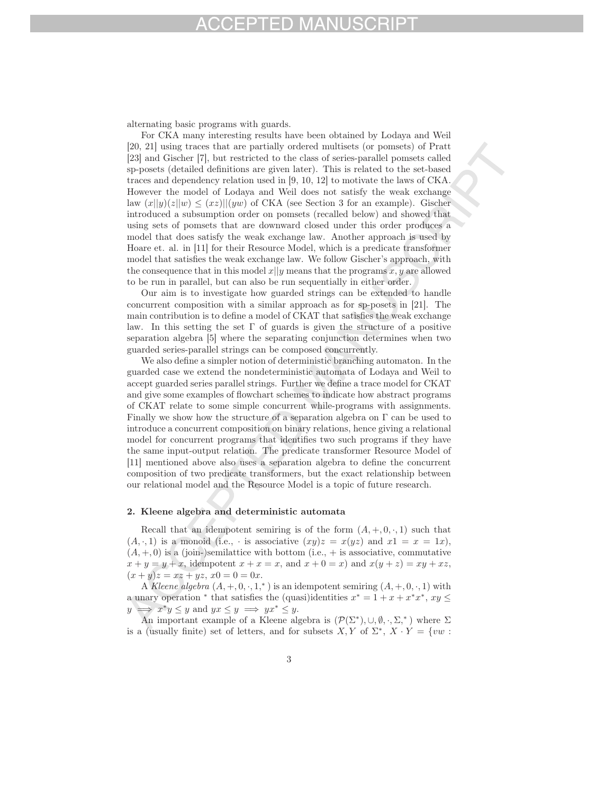alternating basic programs with guards.

For CKA many interesting results have been obtained by Lodaya and Weil [20, 21] using traces that are partially ordered multisets (or pomsets) of Pratt [23] and Gischer [7], but restricted to the class of series-parallel pomsets called sp-posets (detailed definitions are given later). This is related to the set-based traces and dependency relation used in [9, 10, 12] to motivate the laws of CKA. However the model of Lodaya and Weil does not satisfy the weak exchange law  $(x||y)(z||w) \leq (xz)||(yw)$  of CKA (see Section 3 for an example). Gischer introduced a subsumption order on pomsets (recalled below) and showed that using sets of pomsets that are downward closed under this order produces a model that does satisfy the weak exchange law. Another approach is used by Hoare et. al. in [11] for their Resource Model, which is a predicate transformer model that satisfies the weak exchange law. We follow Gischer's approach, with the consequence that in this model  $x||y$  means that the programs  $x, y$  are allowed to be run in parallel, but can also be run sequentially in either order.

Our aim is to investigate how guarded strings can be extended to handle concurrent composition with a similar approach as for sp-posets in [21]. The main contribution is to define a model of CKAT that satisfies the weak exchange law. In this setting the set  $\Gamma$  of guards is given the structure of a positive separation algebra [5] where the separating conjunction determines when two guarded series-parallel strings can be composed concurrently.

We also define a simpler notion of deterministic branching automaton. In the guarded case we extend the nondeterministic automata of Lodaya and Weil to accept guarded series parallel strings. Further we define a trace model for CKAT and give some examples of flowchart schemes to indicate how abstract programs of CKAT relate to some simple concurrent while-programs with assignments. Finally we show how the structure of a separation algebra on  $\Gamma$  can be used to introduce a concurrent composition on binary relations, hence giving a relational model for concurrent programs that identifies two such programs if they have the same input-output relation. The predicate transformer Resource Model of [11] mentioned above also uses a separation algebra to define the concurrent composition of two predicate transformers, but the exact relationship between our relational model and the Resource Model is a topic of future research.

### 2. Kleene algebra and deterministic automata

Recall that an idempotent semiring is of the form  $(A, +, 0, \cdot, 1)$  such that  $(A, \cdot, 1)$  is a monoid (i.e.,  $\cdot$  is associative  $(xy)z = x(yz)$  and  $x1 = x = 1x$ ),  $(A, +, 0)$  is a (join-)semilattice with bottom (i.e.,  $+$  is associative, commutative  $x + y = y + x$ , idempotent  $x + x = x$ , and  $x + 0 = x$  and  $x(y + z) = xy + xz$ ,  $(x + y)z = xz + yz, x0 = 0 = 0x.$ 

A *Kleene algebra*  $(A, +, 0, \cdot, 1, *)$  is an idempotent semiring  $(A, +, 0, \cdot, 1)$  with a unary operation \* that satisfies the (quasi)identities  $x^* = 1 + x + x^*x^*$ ,  $xy \le y \implies x^*y \le y$  and  $yx \le y \implies yx^* \le y$ .  $\implies x^*y \leq y$  and  $yx \leq y \implies yx^* \leq y$ .

An important example of a Kleene algebra is  $(\mathcal{P}(\Sigma^*), \cup, \emptyset, \cdot, \Sigma^*)$  where  $\Sigma$ is a (usually finite) set of letters, and for subsets  $X, Y$  of  $\Sigma^*, X \cdot Y = \{vw :$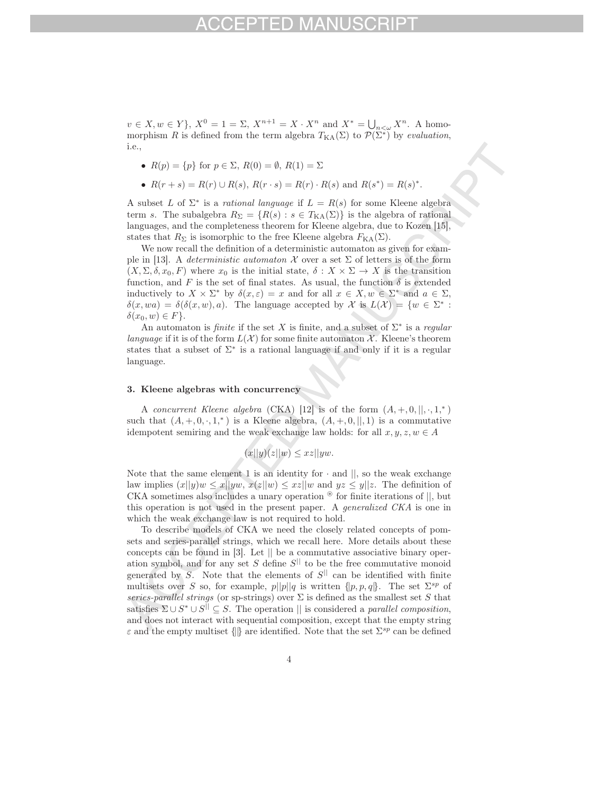$v \in X, w \in Y$ ,  $X^0 = 1 = \Sigma, X^{n+1} = X \cdot X^n$  and  $X^* = \bigcup_{n \leq \omega} X^n$ . A homomorphism R is defined from the term algebra  $T_{\text{KA}}(\Sigma)$  to  $\mathcal{P}(\Sigma^*)$  by *evaluation*, i.e.,

- $R(p) = \{p\}$  for  $p \in \Sigma$ ,  $R(0) = \emptyset$ ,  $R(1) = \Sigma$
- $R(r + s) = R(r) \cup R(s)$ ,  $R(r \cdot s) = R(r) \cdot R(s)$  and  $R(s^*) = R(s)^*$ .

A subset L of  $\Sigma^*$  is a *rational language* if  $L = R(s)$  for some Kleene algebra term s. The subalgebra  $R_{\Sigma} = \{R(s) : s \in T_{\text{KA}}(\Sigma)\}\$ is the algebra of rational languages, and the completeness theorem for Kleene algebra, due to Kozen [15], states that  $R_{\Sigma}$  is isomorphic to the free Kleene algebra  $F_{\text{KA}}(\Sigma)$ .

We now recall the definition of a deterministic automaton as given for example in [13]. A *deterministic automaton*  $\mathcal X$  over a set  $\Sigma$  of letters is of the form  $(X, \Sigma, \delta, x_0, F)$  where  $x_0$  is the initial state,  $\delta : X \times \Sigma \to X$  is the transition function, and F is the set of final states. As usual, the function  $\delta$  is extended inductively to  $X \times \Sigma^*$  by  $\delta(x, \varepsilon) = x$  and for all  $x \in X, w \in \Sigma^*$  and  $a \in \Sigma$ ,  $\delta(x, wa) = \delta(\delta(x, w), a)$ . The language accepted by X is  $L(\mathcal{X}) = \{w \in \Sigma^* :$  $\delta(x_0, w) \in F$ .

An automaton is *finite* if the set X is finite, and a subset of Σ<sup>∗</sup> is a *regular language* if it is of the form  $L(\mathcal{X})$  for some finite automaton  $\mathcal{X}$ . Kleene's theorem states that a subset of  $\Sigma^*$  is a rational language if and only if it is a regular language.

### 3. Kleene algebras with concurrency

A *concurrent Kleene algebra* (CKA) [12] is of the form  $(A, +, 0, \|, \cdot, 1,^*)$ such that  $(A, +, 0, \cdot, 1,^*)$  is a Kleene algebra,  $(A, +, 0, ||, 1)$  is a commutative idempotent semiring and the weak exchange law holds: for all  $x, y, z, w \in A$ 

$$
(x||y)(z||w) \leq xz||yw.
$$

Note that the same element 1 is an identity for  $\cdot$  and  $\parallel$ , so the weak exchange law implies  $(x||y)w \leq x||yw, x(z||w) \leq xz||w$  and  $yz \leq y||z$ . The definition of CKA sometimes also includes a unary operation  $\mathscr{F}$  for finite iterations of  $||$ , but this operation is not used in the present paper. A *generalized CKA* is one in which the weak exchange law is not required to hold.

To describe models of CKA we need the closely related concepts of pomsets and series-parallel strings, which we recall here. More details about these concepts can be found in [3]. Let || be a commutative associative binary operation symbol, and for any set S define  $S^{||}$  to be the free commutative monoid generated by S. Note that the elements of  $S^{||}$  can be identified with finite multisets over S so, for example,  $p||p||q$  is written  $\{p, p, q\}$ . The set  $\Sigma^{sp}$  of *series-parallel strings* (or sp-strings) over  $\Sigma$  is defined as the smallest set S that satisfies  $\Sigma \cup S^* \cup S^{||} \subseteq S$ . The operation  $||$  is considered a *parallel composition*, and does not interact with sequential composition, except that the empty string  $\varepsilon$  and the empty multiset  $\{\|\}$  are identified. Note that the set  $\Sigma^{sp}$  can be defined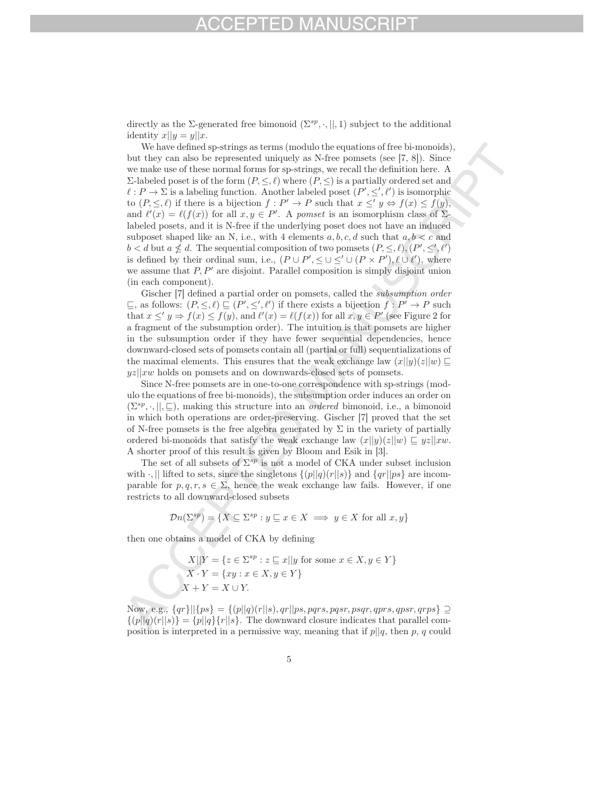directly as the Σ-generated free bimonoid  $(\Sigma^{sp},\cdot,||,1)$  subject to the additional identity  $x||y = y||x$ .

We have defined sp-strings as terms (modulo the equations of free bi-monoids) but they can also be represented uniquely as N-free pomsets (see [7, 8]). Since we make use of these normal forms for sp-strings, we recall the definition here. A Σ-labeled poset is of the form  $(P, \leq, \ell)$  where  $(P, \leq)$  is a partially ordered set and  $\ell : P \to \Sigma$  is a labeling function. Another labeled poset  $(P', \leq', \ell')$  is isomorphic to  $(P, \leq, \ell)$  if there is a bijection  $f : P' \to P$  such that  $x \leq' y \Leftrightarrow f(x) \leq f(y)$ . and  $\ell'(x) = \ell(f(x))$  for all  $x, y \in P'$ . A *pomset* is an isomorphism class of  $\Sigma$ labeled posets, and it is N-free if the underlying poset does not have an induced subposet shaped like an N, i.e., with 4 elements  $a, b, c, d$  such that  $a, b < c$  and  $b < d$  but  $a \nleq d$ . The sequential composition of two pomsets  $(P, \leq, \ell), (P', \leq', \ell')$ is defined by their ordinal sum, i.e.,  $(P \cup P', \leq \cup \leq' \cup (P \times P'), \ell \cup \ell'$ , where we assume that  $P, P'$  are disjoint. Parallel composition is simply disjoint union (in each component).

Gischer [7] defined a partial order on pomsets, called the *subsumption order*  $\sqsubseteq$ , as follows:  $(P, \leq, \ell) \sqsubseteq (P', \leq', \ell')$  if there exists a bijection  $f : P' \to P$  such that  $x \le y \Rightarrow f(x) \le f(y)$ , and  $\ell'(x) = \ell(f(x))$  for all  $x, y \in P'$  (see Figure 2 for a fragment of the subsumption order). The intuition is that pomsets are higher in the subsumption order if they have fewer sequential dependencies, hence downward-closed sets of pomsets contain all (partial or full) sequentializations of the maximal elements. This ensures that the weak exchange law  $(x||y)(z||w) \square$  $yz||xw$  holds on pomsets and on downwards-closed sets of pomsets.

Since N-free pomsets are in one-to-one correspondence with sp-strings (modulo the equations of free bi-monoids), the subsumption order induces an order on  $(\Sigma^{sp},\cdot,\vert\vert,\sqsubseteq)$ , making this structure into an *ordered* bimonoid, i.e., a bimonoid in which both operations are order-preserving. Gischer [7] proved that the set of N-free pomsets is the free algebra generated by  $\Sigma$  in the variety of partially ordered bi-monoids that satisfy the weak exchange law  $(x||y)(z||w) \subseteq yz||xw$ . A shorter proof of this result is given by Bloom and Esik in [3].

The set of all subsets of  $\Sigma^{sp}$  is not a model of CKA under subset inclusion with  $\cdot$ , || lifted to sets, since the singletons  $\{(p||q)(r||s)\}\$ and  $\{qr||ps\}$  are incomparable for  $p, q, r, s \in \Sigma$ , hence the weak exchange law fails. However, if one restricts to all downward-closed subsets

$$
\mathcal{D}n(\Sigma^{sp}) = \{ X \subseteq \Sigma^{sp} : y \sqsubseteq x \in X \implies y \in X \text{ for all } x, y \}
$$

then one obtains a model of CKA by defining

$$
X||Y = \{z \in \Sigma^{sp} : z \sqsubseteq x || y \text{ for some } x \in X, y \in Y\}
$$

$$
X \cdot Y = \{xy : x \in X, y \in Y\}
$$

$$
X + Y = X \cup Y.
$$

Now, e.g.,  $\{qr\}$ || $\{ps\}$  =  $\{(p||q)(r||s), qr||ps, pqrs, pqsr, psqr, qprs, qpsr, qrps\}$  ⊇  $\{(p||q)(r||s)\} = \{p||q\} \{r||s\}.$  The downward closure indicates that parallel composition is interpreted in a permissive way, meaning that if  $p||q$ , then p, q could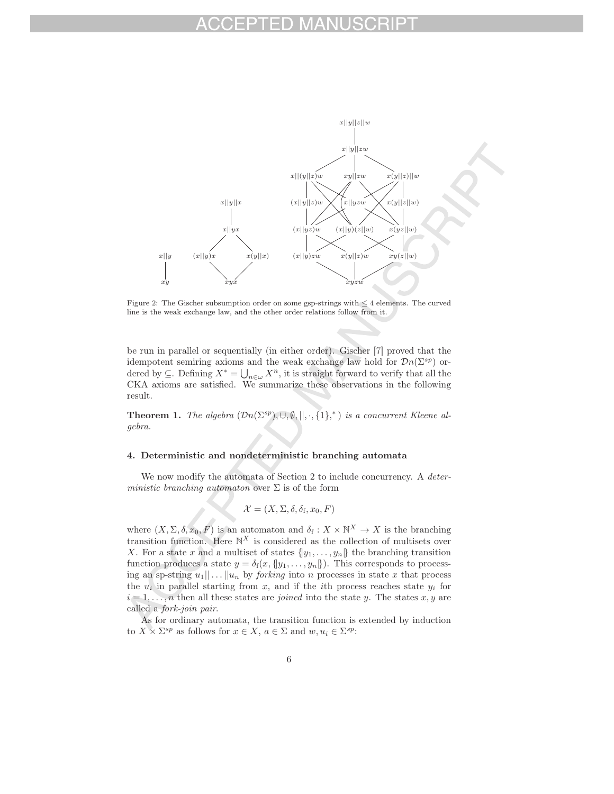

Figure 2: The Gischer subsumption order on some gsp-strings with  $\leq 4$  elements. The curved line is the weak exchange law, and the other order relations follow from it.

be run in parallel or sequentially (in either order). Gischer [7] proved that the idempotent semiring axioms and the weak exchange law hold for  $\mathcal{D}n(\Sigma^{sp})$  ordered by  $\subseteq$ . Defining  $X^* = \bigcup_{n \in \omega} X^n$ , it is straight forward to verify that all the CKA axioms are satisfied. We summarize these observations in the following result.

**Theorem 1.** *The algebra*  $(\mathcal{D}n(\Sigma^{sp}), \cup, \emptyset, \|, \cdot, \{1\},^*)$  *is a concurrent Kleene algebra.*

### 4. Deterministic and nondeterministic branching automata

We now modify the automata of Section 2 to include concurrency. A *deterministic branching automaton* over Σ is of the form

$$
\mathcal{X} = (X, \Sigma, \delta, \delta_{\rm f}, x_0, F)
$$

where  $(X, \Sigma, \delta, x_0, F)$  is an automaton and  $\delta_f: X \times \mathbb{N}^X \to X$  is the branching transition function. Here  $\mathbb{N}^X$  is considered as the collection of multisets over X. For a state x and a multiset of states  $\{y_1, \ldots, y_n\}$  the branching transition function produces a state  $y = \delta_f(x, \{y_1, \ldots, y_n\})$ . This corresponds to processing an sp-string  $u_1|| \dots ||u_n$  by *forking* into n processes in state x that process the  $u_i$  in parallel starting from x, and if the *i*th process reaches state  $y_i$  for  $i = 1, \ldots, n$  then all these states are *joined* into the state y. The states x, y are called a *fork-join pair*.

As for ordinary automata, the transition function is extended by induction to  $X \times \Sigma^{sp}$  as follows for  $x \in X$ ,  $a \in \Sigma$  and  $w, u_i \in \Sigma^{sp}$ :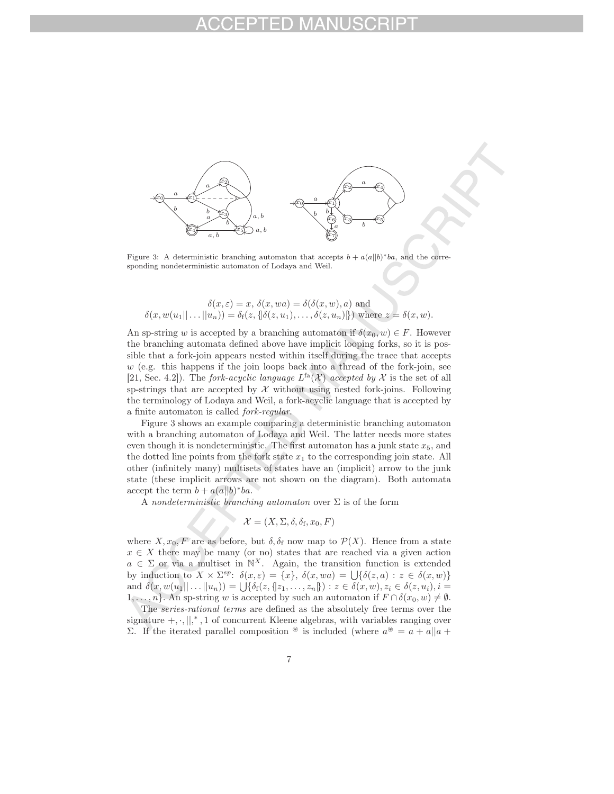

Figure 3: A deterministic branching automaton that accepts  $b + a(a||b)*ba$ , and the corresponding nondeterministic automaton of Lodaya and Weil.

$$
\delta(x,\varepsilon) = x, \, \delta(x,wa) = \delta(\delta(x,w),a)
$$
 and  

$$
\delta(x,w(u_1||\dots||u_n)) = \delta_f(z, \{\delta(z,u_1),\dots,\delta(z,u_n)\})
$$
 where  $z = \delta(x,w)$ .

An sp-string w is accepted by a branching automaton if  $\delta(x_0, w) \in F$ . However the branching automata defined above have implicit looping forks, so it is possible that a fork-join appears nested within itself during the trace that accepts  $w$  (e.g. this happens if the join loops back into a thread of the fork-join, see [21, Sec. 4.2]). The *fork-acyclic language*  $L^{fa}(\mathcal{X})$  *accepted by*  $\mathcal{X}$  is the set of all sp-strings that are accepted by  $\mathcal X$  without using nested fork-joins. Following the terminology of Lodaya and Weil, a fork-acyclic language that is accepted by a finite automaton is called *fork-regular*.

Figure 3 shows an example comparing a deterministic branching automaton with a branching automaton of Lodaya and Weil. The latter needs more states even though it is nondeterministic. The first automaton has a junk state  $x_5$ , and the dotted line points from the fork state  $x_1$  to the corresponding join state. All other (infinitely many) multisets of states have an (implicit) arrow to the junk state (these implicit arrows are not shown on the diagram). Both automata accept the term  $b + a(a||b)^*ba$ .

A *nondeterministic branching automaton* over Σ is of the form

$$
\mathcal{X} = (X, \Sigma, \delta, \delta_{\rm f}, x_0, F)
$$

where  $X, x_0, F$  are as before, but  $\delta, \delta_f$  now map to  $\mathcal{P}(X)$ . Hence from a state  $x \in X$  there may be many (or no) states that are reached via a given action  $a \in \Sigma$  or via a multiset in  $\mathbb{N}^X$ . Again, the transition function is extended by induction to  $X \times \Sigma^{sp}$ :  $\delta(x,\varepsilon) = \{x\}, \ \delta(x, wa) = \bigcup \{\delta(z, a) : z \in \delta(x, w)\}\$ and  $\delta(x, w(u_1|| \dots || u_n)) = \bigcup \{\delta_f(z, \{z_1, \dots, z_n\}) : z \in \delta(x, w), z_i \in \delta(z, u_i), i =$  $1,\ldots,n$ . An sp-string w is accepted by such an automaton if  $F \cap \delta(x_0,w) \neq \emptyset$ .

The *series-rational terms* are defined as the absolutely free terms over the signature  $+$ ,  $\cdot$ ,  $\vert \vert$ ,  $*$ , 1 of concurrent Kleene algebras, with variables ranging over Σ. If the iterated parallel composition  $\Theta$  is included (where  $a^{\Theta} = a + a||a + b||$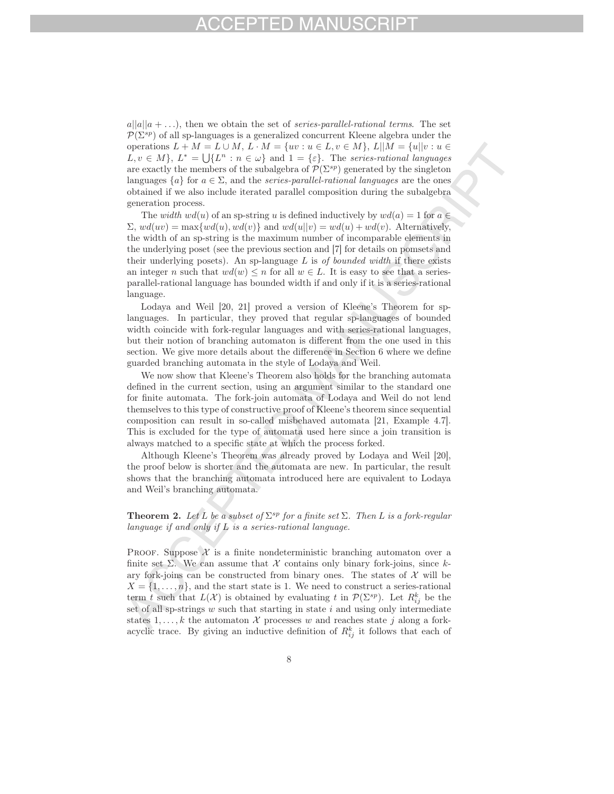# $-1)$

 $a||a||a + \ldots$ , then we obtain the set of *series-parallel-rational terms*. The set  $P(\Sigma^{sp})$  of all sp-languages is a generalized concurrent Kleene algebra under the operations  $L + M = L \cup M$ ,  $L \cdot M = \{uv : u \in L, v \in M\}$ ,  $L||M = \{u||v : u \in L\}$  $L, v \in M$ ,  $L^* = \bigcup \{L^n : n \in \omega\}$  and  $1 = \{\varepsilon\}$ . The *series-rational languages* are exactly the members of the subalgebra of  $\mathcal{P}(\Sigma^{sp})$  generated by the singleton languages  $\{a\}$  for  $a \in \Sigma$ , and the *series-parallel-rational languages* are the ones obtained if we also include iterated parallel composition during the subalgebra generation process.

The *width*  $wd(u)$  of an sp-string u is defined inductively by  $wd(a)=1$  for  $a \in$  $\Sigma$ ,  $wd(uv) = \max\{wd(u), wd(v)\}\$ and  $wd(u||v) = wd(u) + wd(v)$ . Alternatively, the width of an sp-string is the maximum number of incomparable elements in the underlying poset (see the previous section and [7] for details on pomsets and their underlying posets). An sp-language L is *of bounded width* if there exists an integer n such that  $wd(w) \leq n$  for all  $w \in L$ . It is easy to see that a seriesparallel-rational language has bounded width if and only if it is a series-rational language.

Lodaya and Weil [20, 21] proved a version of Kleene's Theorem for splanguages. In particular, they proved that regular sp-languages of bounded width coincide with fork-regular languages and with series-rational languages, but their notion of branching automaton is different from the one used in this section. We give more details about the difference in Section 6 where we define guarded branching automata in the style of Lodaya and Weil.

We now show that Kleene's Theorem also holds for the branching automata defined in the current section, using an argument similar to the standard one for finite automata. The fork-join automata of Lodaya and Weil do not lend themselves to this type of constructive proof of Kleene's theorem since sequential composition can result in so-called misbehaved automata [21, Example 4.7]. This is excluded for the type of automata used here since a join transition is always matched to a specific state at which the process forked.

Although Kleene's Theorem was already proved by Lodaya and Weil [20], the proof below is shorter and the automata are new. In particular, the result shows that the branching automata introduced here are equivalent to Lodaya and Weil's branching automata.

### **Theorem 2.** Let L be a subset of  $\Sigma^{sp}$  for a finite set  $\Sigma$ . Then L is a fork-regular *language if and only if* L *is a series-rational language.*

PROOF. Suppose  $\mathcal X$  is a finite nondeterministic branching automaton over a finite set  $\Sigma$ . We can assume that X contains only binary fork-joins, since kary fork-joins can be constructed from binary ones. The states of  $\mathcal X$  will be  $X = \{1, \ldots, n\}$ , and the start state is 1. We need to construct a series-rational term t such that  $L(\mathcal{X})$  is obtained by evaluating t in  $\mathcal{P}(\Sigma^{sp})$ . Let  $R_{ij}^k$  be the set of all sp-strings  $w$  such that starting in state  $i$  and using only intermediate states 1,..., k the automaton  $\mathcal X$  processes w and reaches state j along a forkacyclic trace. By giving an inductive definition of  $R_{ij}^k$  it follows that each of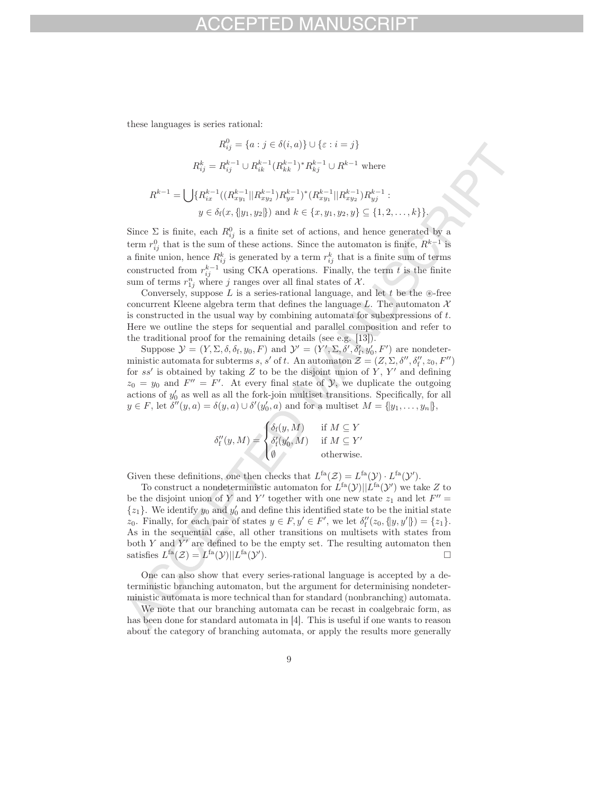these languages is series rational:

$$
R_{ij}^0 = \{a : j \in \delta(i, a)\} \cup \{\varepsilon : i = j\}
$$
  
\n
$$
R_{ij}^k = R_{ij}^{k-1} \cup R_{ik}^{k-1} (R_{kk}^{k-1})^* R_{kj}^{k-1} \cup R^{k-1} \text{ where}
$$
  
\n
$$
R^{k-1} = \bigcup \{R_{ix}^{k-1} ((R_{xy_1}^{k-1} || R_{xy_2}^{k-1}) R_{yx}^{k-1})^* (R_{xy_1}^{k-1} || R_{xy_2}^{k-1}) R_{yy}^{k-1} :
$$
  
\n
$$
y \in \delta_f(x, \{y_1, y_2\}) \text{ and } k \in \{x, y_1, y_2, y\} \subseteq \{1, 2, ..., k\}.
$$

Since  $\Sigma$  is finite, each  $R_{ij}^0$  is a finite set of actions, and hence generated by a term  $r_{ij}^0$  that is the sum of these actions. Since the automaton is finite,  $R^{k-1}$  is a finite union, hence  $R_{ij}^k$  is generated by a term  $r_{ij}^k$  that is a finite sum of terms constructed from  $r_{ij}^{k-1}$  using CKA operations. Finally, the term t is the finite sum of terms  $r_{1j}^n$  where j ranges over all final states of  $\mathcal{X}$ .

Conversely, suppose  $L$  is a series-rational language, and let  $t$  be the  $\circledast$ -free concurrent Kleene algebra term that defines the language L. The automaton  $X$ is constructed in the usual way by combining automata for subexpressions of  $t$ . Here we outline the steps for sequential and parallel composition and refer to the traditional proof for the remaining details (see e.g. [13]).

Suppose  $\mathcal{Y} = (Y, \Sigma, \delta, \delta_{\text{f}}, y_0, F)$  and  $\mathcal{Y}' = (Y', \Sigma, \delta', \delta_{\text{f}}', y_0', F')$  are nondeterministic automata for subterms s, s' of t. An automaton  $\mathcal{Z} = (Z, \Sigma, \delta'', \delta''_f, z_0, F'')$ for  $ss'$  is obtained by taking Z to be the disjoint union of Y, Y' and defining  $z_0 = y_0$  and  $F'' = F'$ . At every final state of  $\mathcal{Y}$ , we duplicate the outgoing actions of  $y'_0$  as well as all the fork-join multiset transitions. Specifically, for all  $y \in F$ , let  $\delta''(y, a) = \delta(y, a) \cup \delta'(y'_0, a)$  and for a multiset  $M = \{y_1, \ldots, y_n\}$ ,

$$
\delta_{\mathrm{f}}''(y,M) = \begin{cases} \delta_{\mathrm{f}}(y,M) & \text{ if } M \subseteq Y \\ \delta_{\mathrm{f}}'(y_0',M) & \text{ if } M \subseteq Y' \\ \emptyset & \text{ otherwise.} \end{cases}
$$

Given these definitions, one then checks that  $L^{fa}(\mathcal{Z}) = L^{fa}(\mathcal{Y}) \cdot L^{fa}(\mathcal{Y}').$ 

To construct a nondeterministic automaton for  $L^{fa}(\mathcal{Y}) || L^{fa}(\mathcal{Y}')$  we take Z to be the disjoint union of Y and Y' together with one new state  $z_1$  and let  $F'' =$  $\{z_1\}$ . We identify  $y_0$  and  $y'_0$  and define this identified state to be the initial state z<sub>0</sub>. Finally, for each pair of states  $y \in F$ ,  $y' \in F'$ , we let  $\delta_f''(z_0, \{y, y'\}) = \{z_1\}.$ As in the sequential case, all other transitions on multisets with states from both  $Y$  and  $Y'$  are defined to be the empty set. The resulting automaton then satisfies  $L^{fa}(\mathcal{Z}) = L^{fa}(\mathcal{Y}) || L^{fa}(\mathcal{Y}').$ ).  $\qquad \qquad \Box$ 

One can also show that every series-rational language is accepted by a deterministic branching automaton, but the argument for determinising nondeterministic automata is more technical than for standard (nonbranching) automata.

We note that our branching automata can be recast in coalgebraic form, as has been done for standard automata in [4]. This is useful if one wants to reason about the category of branching automata, or apply the results more generally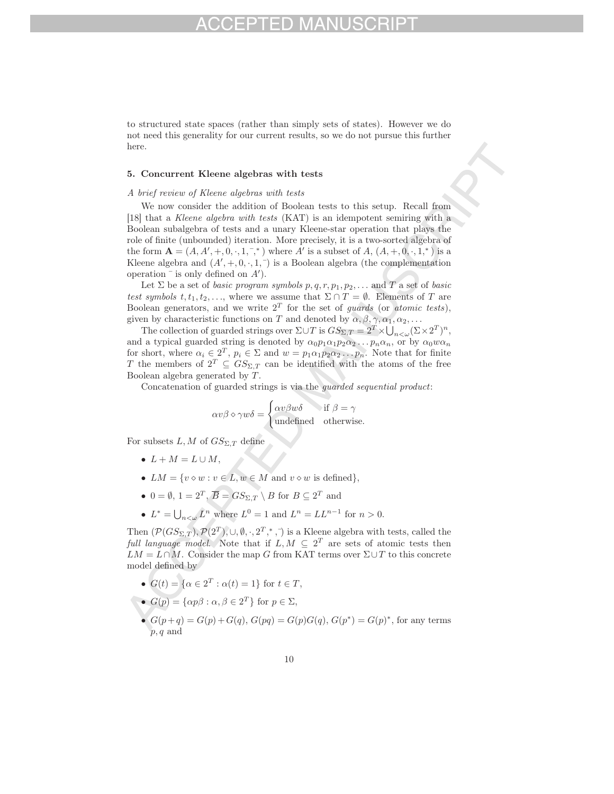to structured state spaces (rather than simply sets of states). However we do not need this generality for our current results, so we do not pursue this further here.

### 5. Concurrent Kleene algebras with tests

### *A brief review of Kleene algebras with tests*

We now consider the addition of Boolean tests to this setup. Recall from [18] that a *Kleene algebra with tests* (KAT) is an idempotent semiring with a Boolean subalgebra of tests and a unary Kleene-star operation that plays the role of finite (unbounded) iteration. More precisely, it is a two-sorted algebra of the form  $A = (A, A', +, 0, \cdot, 1, \cdot, )$  where A' is a subset of A,  $(A, +, 0, \cdot, 1, )$  is a Kleene algebra and  $(A', +, 0, \cdot, 1, )$  is a Boolean algebra (the complementation operation  $\overline{\phantom{a}}$  is only defined on  $A'$ .

Let  $\Sigma$  be a set of *basic program symbols*  $p, q, r, p_1, p_2, \ldots$  and  $T$  a set of *basic test symbols*  $t, t_1, t_2,...$ , where we assume that  $\Sigma \cap T = \emptyset$ . Elements of T are Boolean generators, and we write  $2<sup>T</sup>$  for the set of *guards* (or *atomic tests*), given by characteristic functions on T and denoted by  $\alpha, \beta, \gamma, \alpha_1, \alpha_2, \ldots$ 

The collection of guarded strings over  $\Sigma \cup T$  is  $GS_{\Sigma,T} = 2^T \times \bigcup_{n < \omega} (\Sigma \times 2^T)^n$ , and a typical guarded string is denoted by  $\alpha_0 p_1 \alpha_1 p_2 \alpha_2 \ldots p_n \alpha_n$ , or by  $\alpha_0 w \alpha_n$ for short, where  $\alpha_i \in 2^T$ ,  $p_i \in \Sigma$  and  $w = p_1 \alpha_1 p_2 \alpha_2 \ldots p_n$ . Note that for finite T the members of  $2^T \subseteq GS_{\Sigma,T}$  can be identified with the atoms of the free Boolean algebra generated by T.

Concatenation of guarded strings is via the *guarded sequential product*:

$$
\alpha v \beta \diamond \gamma w \delta = \begin{cases} \alpha v \beta w \delta & \text{if } \beta = \gamma \\ \text{undefined} & \text{otherwise.} \end{cases}
$$

For subsets  $L, M$  of  $GS_{\Sigma,T}$  define

- $L + M = L \cup M$ ,
- $LM = \{v \diamond w : v \in L, w \in M \text{ and } v \diamond w \text{ is defined}\},\$
- $0 = \emptyset$ ,  $1 = 2^T$ ,  $\overline{B} = G S_{\Sigma,T} \setminus B$  for  $B \subseteq 2^T$  and
- $L^* = \bigcup_{n < \omega} L^n$  where  $L^0 = 1$  and  $L^n = LL^{n-1}$  for  $n > 0$ .

Then  $(\mathcal{P}(GS_{\Sigma,T}), \mathcal{P}(2^T), \cup, \emptyset, \cdot, 2^T, \cdot, \cdot)$  is a Kleene algebra with tests, called the *full language model.* Note that if  $L, M \subseteq 2^T$  are sets of atomic tests then  $LM = L \cap M.$  Consider the map  $G$  from KAT terms over  $\Sigma \cup T$  to this concrete model defined by

- $G(t) = \{ \alpha \in 2^T : \alpha(t) = 1 \}$  for  $t \in T$ ,
- $G(p) = {\alpha p \beta : \alpha, \beta \in 2^T}$  for  $p \in \Sigma$ ,
	- $G(p+q) = G(p) + G(q)$ ,  $G(pq) = G(p)G(q)$ ,  $G(p^*) = G(p)^*$ , for any terms p, q and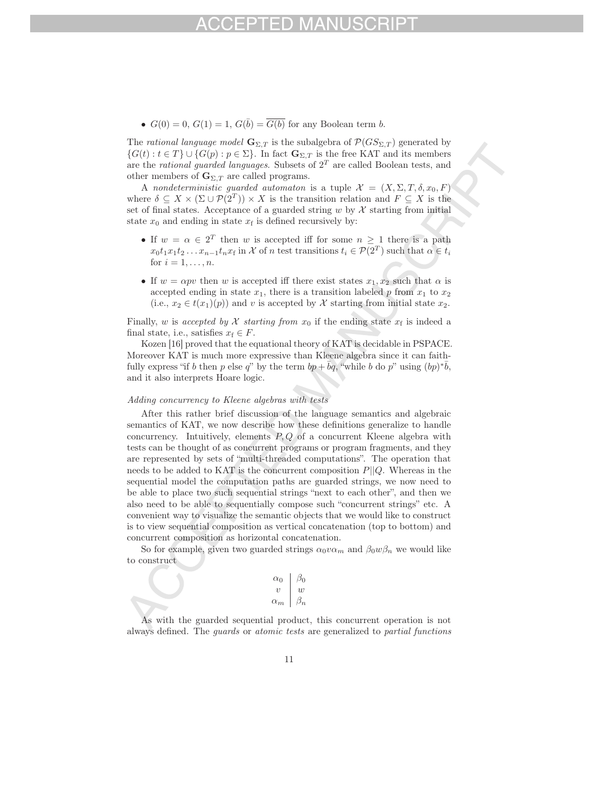•  $G(0) = 0$ ,  $G(1) = 1$ ,  $G(\overline{b}) = \overline{G(b)}$  for any Boolean term b.

The *rational language model*  $\mathbf{G}_{\Sigma,T}$  is the subalgebra of  $\mathcal{P}(GS_{\Sigma,T})$  generated by  ${G(t) : t \in T} \cup {G(p) : p \in \Sigma}.$  In fact  $\mathbf{G}_{\Sigma,T}$  is the free KAT and its members are the *rational guarded languages*. Subsets of 2<sup>T</sup> are called Boolean tests, and other members of  $\mathbf{G}_{\Sigma,T}$  are called programs.

A *nondeterministic guarded automaton* is a tuple  $\mathcal{X} = (X, \Sigma, T, \delta, x_0, F)$ where  $\delta \subseteq X \times (\Sigma \cup \mathcal{P}(2^T)) \times X$  is the transition relation and  $F \subseteq X$  is the set of final states. Acceptance of a guarded string w by  $X$  starting from initial state  $x_0$  and ending in state  $x_f$  is defined recursively by:

- If  $w = \alpha \in 2^T$  then w is accepted iff for some  $n \geq 1$  there is a path  $x_0t_1x_1t_2 \ldots x_{n-1}t_nx_f$  in X of n test transitions  $t_i \in \mathcal{P}(2^T)$  such that  $\alpha \in t_i$ for  $i = 1, \ldots, n$ .
- If  $w = \alpha pv$  then w is accepted iff there exist states  $x_1, x_2$  such that  $\alpha$  is accepted ending in state  $x_1$ , there is a transition labeled p from  $x_1$  to  $x_2$ (i.e.,  $x_2 \in t(x_1)(p)$ ) and v is accepted by X starting from initial state  $x_2$ .

Finally, w is *accepted by* X *starting from*  $x_0$  if the ending state  $x_f$  is indeed a final state, i.e., satisfies  $x_f \in F$ .

Kozen [16] proved that the equational theory of KAT is decidable in PSPACE. Moreover KAT is much more expressive than Kleene algebra since it can faithfully express "if b then p else q" by the term  $bp + bq$ , "while b do p" using  $(bp)^*b$ , and it also interprets Hoare logic.

### *Adding concurrency to Kleene algebras with tests*

After this rather brief discussion of the language semantics and algebraic semantics of KAT, we now describe how these definitions generalize to handle concurrency. Intuitively, elements  $P, Q$  of a concurrent Kleene algebra with tests can be thought of as concurrent programs or program fragments, and they are represented by sets of "multi-threaded computations". The operation that needs to be added to KAT is the concurrent composition  $P||Q$ . Whereas in the sequential model the computation paths are guarded strings, we now need to be able to place two such sequential strings "next to each other", and then we also need to be able to sequentially compose such "concurrent strings" etc. A convenient way to visualize the semantic objects that we would like to construct is to view sequential composition as vertical concatenation (top to bottom) and concurrent composition as horizontal concatenation.

So for example, given two guarded strings  $\alpha_0 v \alpha_m$  and  $\beta_0 w \beta_n$  we would like to construct

| $\alpha_0$           | $\beta_0$        |
|----------------------|------------------|
| $\eta$               | $\boldsymbol{w}$ |
| $\alpha_m$ $\beta_n$ |                  |
|                      |                  |

As with the guarded sequential product, this concurrent operation is not always defined. The *guards* or *atomic tests* are generalized to *partial functions*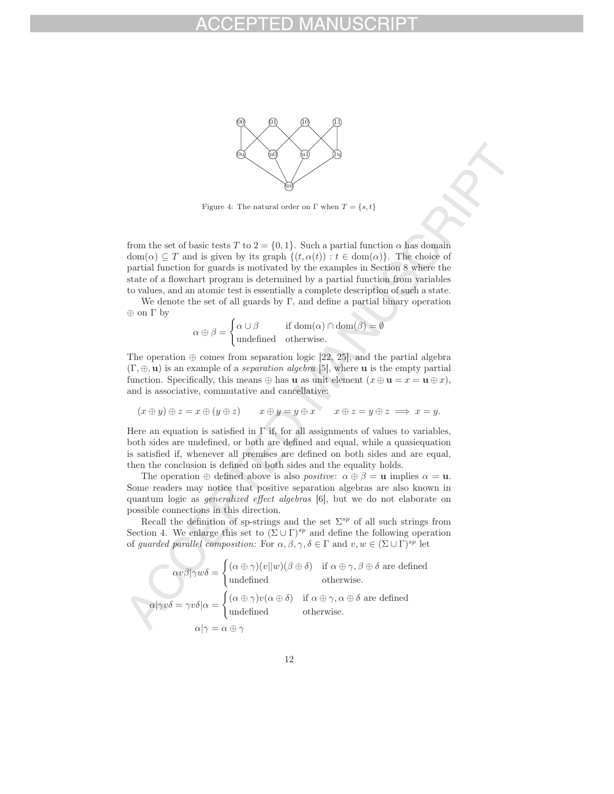

Figure 4: The natural order on  $\Gamma$  when  $T = \{s, t\}$ 

from the set of basic tests T to  $2 = \{0, 1\}$ . Such a partial function  $\alpha$  has domain  $dom(\alpha) \subseteq T$  and is given by its graph  $\{(t, \alpha(t)) : t \in dom(\alpha)\}\)$ . The choice of partial function for guards is motivated by the examples in Section 8 where the state of a flowchart program is determined by a partial function from variables to values, and an atomic test is essentially a complete description of such a state.

We denote the set of all guards by  $\Gamma$ , and define a partial binary operation ⊕ on Γ by

$$
\alpha \oplus \beta = \begin{cases} \alpha \cup \beta & \text{if } \text{dom}(\alpha) \cap \text{dom}(\beta) = \emptyset \\ \text{undefined} & \text{otherwise.} \end{cases}
$$

The operation  $\oplus$  comes from separation logic [22, 25], and the partial algebra (Γ, ⊕, **u**) is an example of a *separation algebra* [5], where **u** is the empty partial function. Specifically, this means  $\oplus$  has **u** as unit element  $(x \oplus \mathbf{u} = x = \mathbf{u} \oplus x)$ , and is associative, commutative and cancellative:

$$
(x \oplus y) \oplus z = x \oplus (y \oplus z) \qquad x \oplus y = y \oplus x \qquad x \oplus z = y \oplus z \implies x = y.
$$

Here an equation is satisfied in  $\Gamma$  if, for all assignments of values to variables, both sides are undefined, or both are defined and equal, while a quasiequation is satisfied if, whenever all premises are defined on both sides and are equal, then the conclusion is defined on both sides and the equality holds.

The operation  $\oplus$  defined above is also *positive*:  $\alpha \oplus \beta = \mathbf{u}$  implies  $\alpha = \mathbf{u}$ . Some readers may notice that positive separation algebras are also known in quantum logic as *generalized effect algebras* [6], but we do not elaborate on possible connections in this direction.

Recall the definition of sp-strings and the set  $\Sigma^{sp}$  of all such strings from Section 4. We enlarge this set to  $(\Sigma \cup \Gamma)^{sp}$  and define the following operation of *guarded parallel composition*: For  $\alpha, \beta, \gamma, \delta \in \Gamma$  and  $v, w \in (\Sigma \cup \Gamma)^{sp}$  let

$$
\alpha v \beta |\gamma w \delta = \begin{cases}\n(\alpha \oplus \gamma)(v||w)(\beta \oplus \delta) & \text{if } \alpha \oplus \gamma, \beta \oplus \delta \text{ are defined} \\
\text{undefined} & \text{otherwise.} \n\end{cases}
$$
\n
$$
\alpha |\gamma v \delta = \gamma v \delta |\alpha = \begin{cases}\n(\alpha \oplus \gamma)v(\alpha \oplus \delta) & \text{if } \alpha \oplus \gamma, \alpha \oplus \delta \text{ are defined} \\
\text{undefined} & \text{otherwise.} \n\end{cases}
$$
\n
$$
\alpha |\gamma = \alpha \oplus \gamma
$$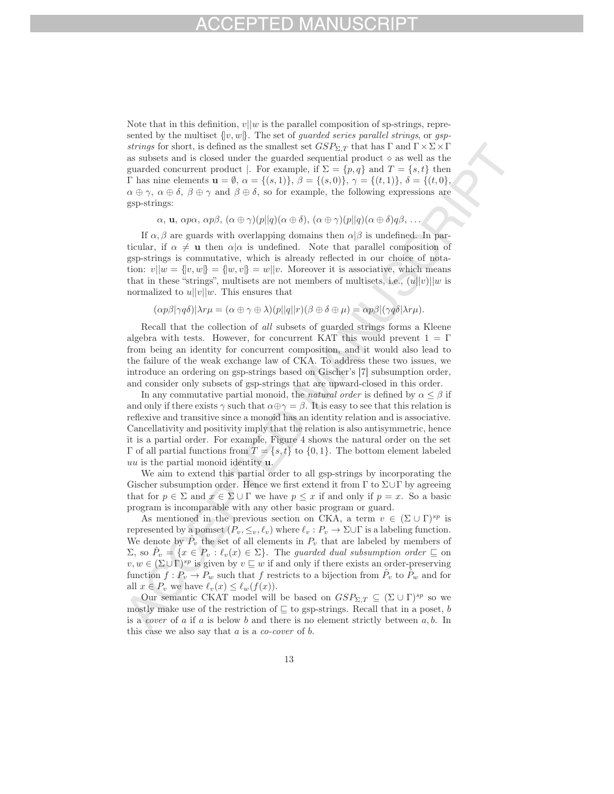Note that in this definition,  $v||w$  is the parallel composition of sp-strings, represented by the multiset {|v, w|}. The set of *guarded series parallel strings*, or *gspstrings* for short, is defined as the smallest set  $GSP_{\Sigma,T}$  that has  $\Gamma$  and  $\Gamma \times \Sigma \times \Gamma$ as subsets and is closed under the guarded sequential product  $\diamond$  as well as the guarded concurrent product |. For example, if  $\Sigma = \{p, q\}$  and  $T = \{s, t\}$  then Γ has nine elements **u** = ∅, α = {(s, 1)}, β = {(s, 0)}, γ = {(t, 1)}, δ = {(t, 0},  $\alpha \oplus \gamma$ ,  $\alpha \oplus \delta$ ,  $\beta \oplus \gamma$  and  $\beta \oplus \delta$ , so for example, the following expressions are gsp-strings:

$$
\alpha
$$
, **u**,  $\alpha p\alpha$ ,  $\alpha p\beta$ ,  $(\alpha \oplus \gamma)(p||q)(\alpha \oplus \delta)$ ,  $(\alpha \oplus \gamma)(p||q)(\alpha \oplus \delta)q\beta$ , ...

If  $\alpha, \beta$  are guards with overlapping domains then  $\alpha|\beta$  is undefined. In particular, if  $\alpha \neq \mathbf{u}$  then  $\alpha | \alpha$  is undefined. Note that parallel composition of gsp-strings is commutative, which is already reflected in our choice of notation:  $v||w = \{[v, w]\} = \{[w, v]\} = w||v$ . Moreover it is associative, which means that in these "strings", multisets are not members of multisets, i.e.,  $(u||v)||w$  is normalized to  $u||v||w$ . This ensures that

 $(\alpha p\beta|\gamma q\delta)|\lambda r\mu = (\alpha \oplus \gamma \oplus \lambda)(p||q||r)(\beta \oplus \delta \oplus \mu) = \alpha p\beta |(\gamma q\delta|\lambda r\mu).$ 

Recall that the collection of *all* subsets of guarded strings forms a Kleene algebra with tests. However, for concurrent KAT this would prevent  $1=\Gamma$ from being an identity for concurrent composition, and it would also lead to the failure of the weak exchange law of CKA. To address these two issues, we introduce an ordering on gsp-strings based on Gischer's [7] subsumption order, and consider only subsets of gsp-strings that are upward-closed in this order.

In any commutative partial monoid, the *natural order* is defined by  $\alpha \leq \beta$  if and only if there exists  $\gamma$  such that  $\alpha \oplus \gamma = \beta$ . It is easy to see that this relation is reflexive and transitive since a monoid has an identity relation and is associative. Cancellativity and positivity imply that the relation is also antisymmetric, hence it is a partial order. For example, Figure 4 shows the natural order on the set Γ of all partial functions from  $T = \{s, t\}$  to  $\{0, 1\}$ . The bottom element labeled uu is the partial monoid identity **u**.

We aim to extend this partial order to all gsp-strings by incorporating the Gischer subsumption order. Hence we first extend it from  $\Gamma$  to  $\Sigma \cup \Gamma$  by agreeing that for  $p \in \Sigma$  and  $x \in \Sigma \cup \Gamma$  we have  $p \leq x$  if and only if  $p = x$ . So a basic program is incomparable with any other basic program or guard.

As mentioned in the previous section on CKA, a term  $v \in (\Sigma \cup \Gamma)^{sp}$  is represented by a pomset  $(P_v, \leq_v, \ell_v)$  where  $\ell_v : P_v \to \Sigma \cup \Gamma$  is a labeling function. We denote by  $\hat{P}_v$  the set of all elements in  $P_v$  that are labeled by members of  $\Sigma$ , so  $\hat{P}_v = \{x \in P_v : \ell_v(x) \in \Sigma\}$ . The *guarded dual subsumption order*  $\subseteq$  on  $v, w \in (\Sigma \cup \Gamma)^{sp}$  is given by  $v \sqsubseteq w$  if and only if there exists an order-preserving function  $f : P_v \to P_w$  such that f restricts to a bijection from  $P_v$  to  $P_w$  and for all  $x \in P_v$  we have  $\ell_v(x) \leq \ell_w(f(x))$ .

Our semantic CKAT model will be based on  $GSP_{\Sigma T} \subset (\Sigma \cup \Gamma)^{sp}$  so we mostly make use of the restriction of  $\sqsubseteq$  to gsp-strings. Recall that in a poset, b is a *cover* of a if a is below b and there is no element strictly between a, b. In this case we also say that a is a *co-cover* of b.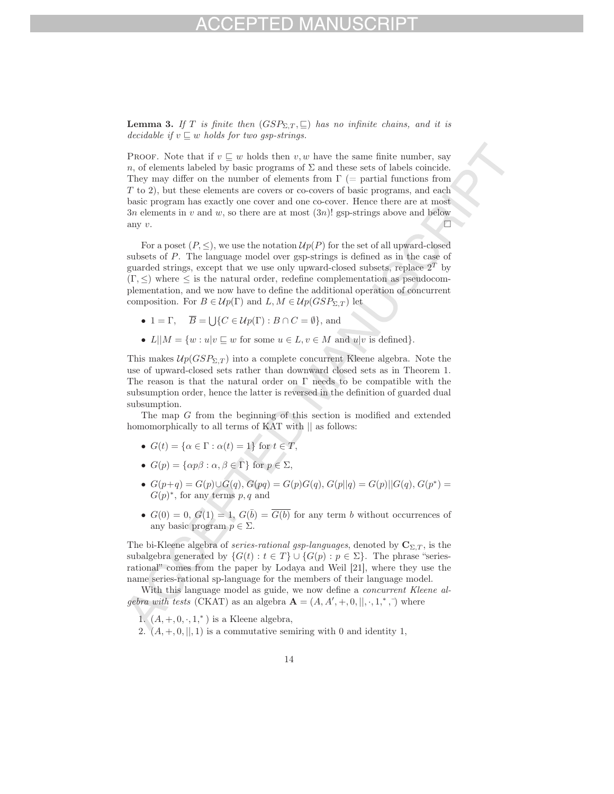**Lemma 3.** If T is finite then  $(GSP_{\Sigma,T}, \subseteq)$  has no infinite chains, and it is *decidable if*  $v \sqsubseteq w$  *holds for two gsp-strings.* 

PROOF. Note that if  $v \subseteq w$  holds then  $v, w$  have the same finite number, say n, of elements labeled by basic programs of  $\Sigma$  and these sets of labels coincide. They may differ on the number of elements from  $\Gamma$  (= partial functions from T to 2), but these elements are covers or co-covers of basic programs, and each basic program has exactly one cover and one co-cover. Hence there are at most 3n elements in v and w, so there are at most  $(3n)!$  gsp-strings above and below any  $v$ .

For a poset  $(P, \leq)$ , we use the notation  $\mathcal{U}p(P)$  for the set of all upward-closed subsets of P. The language model over gsp-strings is defined as in the case of guarded strings, except that we use only upward-closed subsets, replace  $2^T$  by  $(\Gamma, \leq)$  where  $\leq$  is the natural order, redefine complementation as pseudocomplementation, and we now have to define the additional operation of concurrent composition. For  $B \in \mathcal{U}p(\Gamma)$  and  $L, M \in \mathcal{U}p(GSP_{\Sigma,T})$  let

- 1 =  $\Gamma$ ,  $\overline{B} = \bigcup \{ C \in \mathcal{U}p(\Gamma) : B \cap C = \emptyset \}$ , and
- $L||M = \{w : u|v \sqsubseteq w \text{ for some } u \in L, v \in M \text{ and } u|v \text{ is defined}\}.$

This makes  $\mathcal{U}_p(GSP_{\Sigma,T})$  into a complete concurrent Kleene algebra. Note the use of upward-closed sets rather than downward closed sets as in Theorem 1. The reason is that the natural order on  $\Gamma$  needs to be compatible with the subsumption order, hence the latter is reversed in the definition of guarded dual subsumption.

The map G from the beginning of this section is modified and extended homomorphically to all terms of KAT with  $\parallel$  as follows:

- $G(t) = \{ \alpha \in \Gamma : \alpha(t) = 1 \}$  for  $t \in T$ ,
- $G(p) = \{\alpha p \beta : \alpha, \beta \in \Gamma\}$  for  $p \in \Sigma$ ,
- $G(p+q) = G(p) \cup \overline{G}(q)$ ,  $G(pq) = G(p)G(q)$ ,  $G(p||q) = G(p)||G(q)$ ,  $G(p^*) =$  $G(p)^*$ , for any terms p, q and
- $G(0) = 0, G(1) = 1, G(\overline{b}) = \overline{G(b)}$  for any term b without occurrences of any basic program  $p \in \Sigma$ .

The bi-Kleene algebra of *series-rational gsp-languages*, denoted by  $\mathbf{C}_{\Sigma,T}$ , is the subalgebra generated by  $\{G(t): t \in T\} \cup \{G(p): p \in \Sigma\}$ . The phrase "seriesrational" comes from the paper by Lodaya and Weil [21], where they use the name series-rational sp-language for the members of their language model.

With this language model as guide, we now define a *concurrent Kleene algebra with tests* (CKAT) as an algebra  $\mathbf{A} = (A, A', +, 0, ||, \cdot, 1, \cdot, \cdot)$  where

1.  $(A, +, 0, \cdot, 1,^*)$  is a Kleene algebra,

2.  $(A, +, 0, \|, 1)$  is a commutative semiring with 0 and identity 1,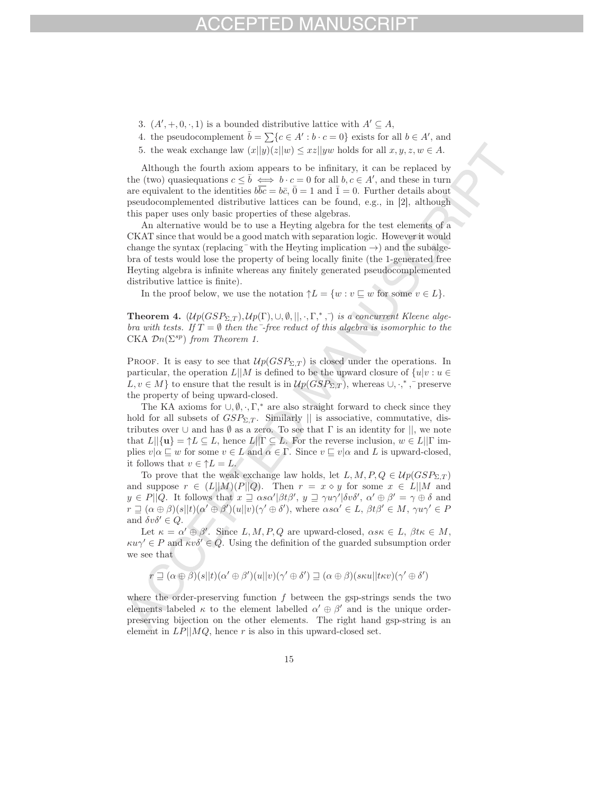- 3.  $(A', +, 0, \cdot, 1)$  is a bounded distributive lattice with  $A' \subseteq A$ ,
- 4. the pseudocomplement  $\bar{b} = \sum \{c \in A' : b \cdot c = 0\}$  exists for all  $b \in A'$ , and
- 5. the weak exchange law  $(x||y)(z||w) \leq xz||yw$  holds for all  $x, y, z, w \in A$ .

Although the fourth axiom appears to be infinitary, it can be replaced by the (two) quasiequations  $c \leq \overline{b} \iff b \cdot c = 0$  for all  $b, c \in A'$ , and these in turn are equivalent to the identities  $b\overline{bc} = b\overline{c}$ ,  $\overline{0} = 1$  and  $\overline{1} = 0$ . Further details about pseudocomplemented distributive lattices can be found, e.g., in [2], although this paper uses only basic properties of these algebras.

An alternative would be to use a Heyting algebra for the test elements of a CKAT since that would be a good match with separation logic. However it would change the syntax (replacing  $\bar{\ }$  with the Heyting implication  $\rightarrow$ ) and the subalgebra of tests would lose the property of being locally finite (the 1-generated free Heyting algebra is infinite whereas any finitely generated pseudocomplemented distributive lattice is finite).

In the proof below, we use the notation  $\uparrow L = \{w : v \sqsubseteq w \text{ for some } v \in L\}.$ 

**Theorem 4.**  $(\mathcal{U}p(GSP_{\Sigma,T}), \mathcal{U}p(\Gamma), \cup, \emptyset, \|, \cdot, \Gamma, \cdot, \cdot)$  *is a concurrent Kleene algebra with tests. If*  $T = \emptyset$  *then the*  $\overline{\phantom{a}}$ *-free reduct of this algebra is isomorphic to the* CKA  $\mathcal{D}n(\Sigma^{sp})$  *from Theorem 1.* 

PROOF. It is easy to see that  $\mathcal{U}_p(GSP_{\Sigma,T})$  is closed under the operations. In particular, the operation  $L||M$  is defined to be the upward closure of  $\{u|v : u \in$  $L, v \in M$ } to ensure that the result is in  $\mathcal{U}p(GSP_{\Sigma,T})$ , whereas  $\cup, \cdot,^*$ , preserve the property of being upward-closed.

The KA axioms for  $\cup, \emptyset, \cdot, \Gamma$ ,<sup>\*</sup> are also straight forward to check since they hold for all subsets of  $GSP_{\Sigma,T}$ . Similarly || is associative, commutative, distributes over  $\cup$  and has  $\emptyset$  as a zero. To see that  $\Gamma$  is an identity for  $||$ , we note that  $L||\{\mathbf{u}\} = \uparrow L \subseteq L$ , hence  $L||\Gamma \subseteq L$ . For the reverse inclusion,  $w \in L||\Gamma$  implies  $v|\alpha \sqsubseteq w$  for some  $v \in L$  and  $\alpha \in \Gamma$ . Since  $v \sqsubseteq v|\alpha$  and L is upward-closed, it follows that  $v \in \uparrow L = L$ .

To prove that the weak exchange law holds, let  $L, M, P, Q \in \mathcal{U}p(GSP_{\Sigma,T})$ and suppose  $r \in (L||M)(P||Q)$ . Then  $r = x \diamond y$  for some  $x \in L||M$  and  $y \in P||Q$ . It follows that  $x \supseteq \alpha s \alpha' | \beta t \beta', y \supseteq \gamma u \gamma' | \delta v \delta', \alpha' \oplus \beta' = \gamma \oplus \delta$  and  $r \supseteq (\alpha \oplus \beta)(s||t)(\alpha' \oplus \beta')(u||v)(\gamma' \oplus \delta'),$  where  $\alpha s \alpha' \in L$ ,  $\beta t \beta' \in M$ ,  $\gamma u \gamma' \in P$ and  $\delta v \delta' \in Q$ .

Let  $\kappa = \alpha' \oplus \beta'$ . Since  $L, M, P, Q$  are upward-closed,  $\alpha s \kappa \in L$ ,  $\beta t \kappa \in M$ ,  $\kappa u \gamma \in P$  and  $\kappa v \delta \in Q$ . Using the definition of the guarded subsumption order we see that

$$
r \sqsupseteq (\alpha \oplus \beta)(s||t)(\alpha' \oplus \beta')(u||v)(\gamma' \oplus \delta') \sqsupseteq (\alpha \oplus \beta)(s\kappa u||t\kappa v)(\gamma' \oplus \delta')
$$

where the order-preserving function  $f$  between the gsp-strings sends the two elements labeled  $\kappa$  to the element labelled  $\alpha' \oplus \beta'$  and is the unique orderpreserving bijection on the other elements. The right hand gsp-string is an element in  $LP||MQ$ , hence r is also in this upward-closed set.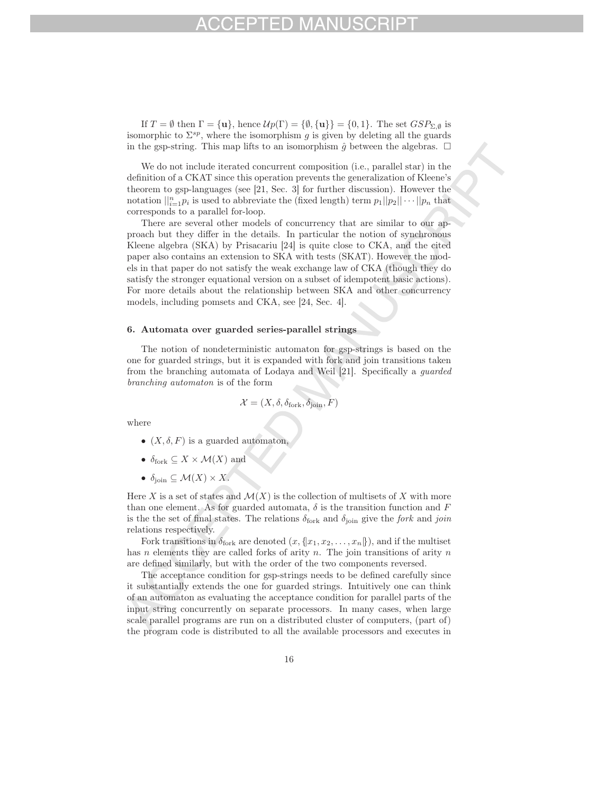If  $T = \emptyset$  then  $\Gamma = {\mathbf{u}}$ , hence  $\mathcal{U}p(\Gamma) = {\emptyset}, {\mathbf{u}} = {0, 1}$ . The set  $GSP_{\Sigma, \emptyset}$  is isomorphic to  $\Sigma^{sp}$ , where the isomorphism g is given by deleting all the guards in the gsp-string. This map lifts to an isomorphism  $\hat{g}$  between the algebras.  $\Box$ 

We do not include iterated concurrent composition (i.e., parallel star) in the definition of a CKAT since this operation prevents the generalization of Kleene's theorem to gsp-languages (see [21, Sec. 3] for further discussion). However the notation  $||_{i=1}^n p_i$  is used to abbreviate the (fixed length) term  $p_1||p_2|| \cdots ||p_n$  that corresponds to a parallel for-loop.

There are several other models of concurrency that are similar to our approach but they differ in the details. In particular the notion of synchronous Kleene algebra (SKA) by Prisacariu [24] is quite close to CKA, and the cited paper also contains an extension to SKA with tests (SKAT). However the models in that paper do not satisfy the weak exchange law of CKA (though they do satisfy the stronger equational version on a subset of idempotent basic actions). For more details about the relationship between SKA and other concurrency models, including pomsets and CKA, see [24, Sec. 4].

### 6. Automata over guarded series-parallel strings

The notion of nondeterministic automaton for gsp-strings is based on the one for guarded strings, but it is expanded with fork and join transitions taken from the branching automata of Lodaya and Weil [21]. Specifically a *guarded branching automaton* is of the form

$$
\mathcal{X} = (X, \delta, \delta_{\text{fork}}, \delta_{\text{join}}, F)
$$

where

- $(X, \delta, F)$  is a guarded automaton.
- $\delta_{\text{fork}} \subseteq X \times \mathcal{M}(X)$  and
- $\delta_{\text{join}} \subseteq \mathcal{M}(X) \times \overline{X}$ .

Here X is a set of states and  $\mathcal{M}(X)$  is the collection of multisets of X with more than one element. As for guarded automata,  $\delta$  is the transition function and F is the the set of final states. The relations  $\delta_{\text{fork}}$  and  $\delta_{\text{ioin}}$  give the *fork* and *join* relations respectively.

Fork transitions in  $\delta_{\text{fork}}$  are denoted  $(x, \{x_1, x_2, \ldots, x_n\})$ , and if the multiset has n elements they are called forks of arity n. The join transitions of arity  $n$ are defined similarly, but with the order of the two components reversed.

The acceptance condition for gsp-strings needs to be defined carefully since it substantially extends the one for guarded strings. Intuitively one can think of an automaton as evaluating the acceptance condition for parallel parts of the input string concurrently on separate processors. In many cases, when large scale parallel programs are run on a distributed cluster of computers, (part of) the program code is distributed to all the available processors and executes in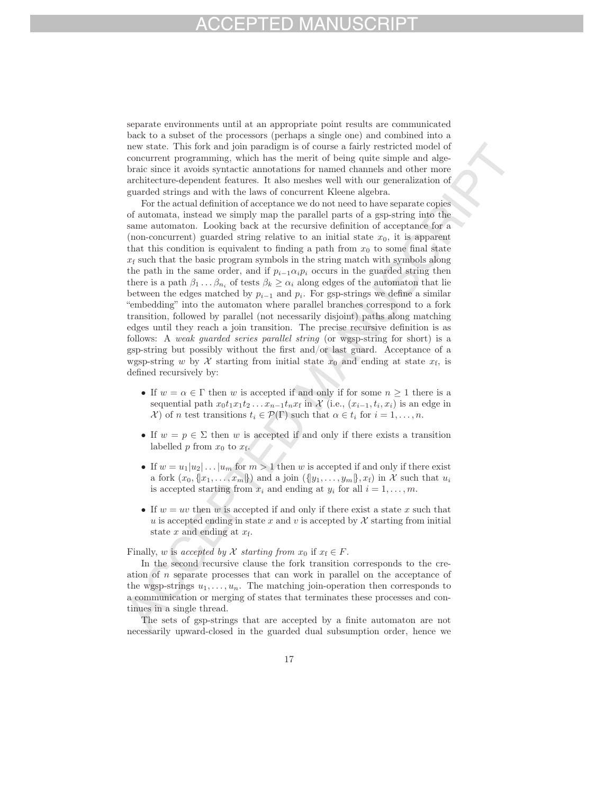# $-1$ )

separate environments until at an appropriate point results are communicated back to a subset of the processors (perhaps a single one) and combined into a new state. This fork and join paradigm is of course a fairly restricted model of concurrent programming, which has the merit of being quite simple and algebraic since it avoids syntactic annotations for named channels and other more architecture-dependent features. It also meshes well with our generalization of guarded strings and with the laws of concurrent Kleene algebra.

For the actual definition of acceptance we do not need to have separate copies of automata, instead we simply map the parallel parts of a gsp-string into the same automaton. Looking back at the recursive definition of acceptance for a (non-concurrent) guarded string relative to an initial state  $x_0$ , it is apparent that this condition is equivalent to finding a path from  $x_0$  to some final state  $x_f$  such that the basic program symbols in the string match with symbols along the path in the same order, and if  $p_{i-1} \alpha_i p_i$  occurs in the guarded string then there is a path  $\beta_1 \dots \beta_{n_i}$  of tests  $\beta_k \geq \alpha_i$  along edges of the automaton that lie between the edges matched by  $p_{i-1}$  and  $p_i$ . For gsp-strings we define a similar "embedding" into the automaton where parallel branches correspond to a fork transition, followed by parallel (not necessarily disjoint) paths along matching edges until they reach a join transition. The precise recursive definition is as follows: A *weak guarded series parallel string* (or wgsp-string for short) is a gsp-string but possibly without the first and/or last guard. Acceptance of a wgsp-string w by X starting from initial state  $x_0$  and ending at state  $x_f$ , is defined recursively by:

- If  $w = \alpha \in \Gamma$  then w is accepted if and only if for some  $n \geq 1$  there is a sequential path  $x_0t_1x_1t_2 \ldots x_{n-1}t_nx_f$  in X (i.e.,  $(x_{i-1}, t_i, x_i)$  is an edge in  $\mathcal{X}$  of n test transitions  $t_i \in \mathcal{P}(\Gamma)$  such that  $\alpha \in t_i$  for  $i = 1, \ldots, n$ .
- If  $w = p \in \Sigma$  then w is accepted if and only if there exists a transition labelled  $p$  from  $x_0$  to  $x_f$ .
- If  $w = u_1 | u_2 | \dots | u_m$  for  $m > 1$  then w is accepted if and only if there exist a fork  $(x_0, \{x_1, \ldots, x_m\})$  and a join  $(\{y_1, \ldots, y_m\}, x_f)$  in X such that  $u_i$ is accepted starting from  $x_i$  and ending at  $y_i$  for all  $i = 1, \ldots, m$ .
- If  $w = uv$  then w is accepted if and only if there exist a state x such that u is accepted ending in state x and v is accepted by  $\mathcal X$  starting from initial state x and ending at  $x_f$ .

### Finally, w is *accepted by* X *starting from*  $x_0$  if  $x_f \in F$ .

In the second recursive clause the fork transition corresponds to the creation of n separate processes that can work in parallel on the acceptance of the wgsp-strings  $u_1, \ldots, u_n$ . The matching join-operation then corresponds to a communication or merging of states that terminates these processes and continues in a single thread.

The sets of gsp-strings that are accepted by a finite automaton are not necessarily upward-closed in the guarded dual subsumption order, hence we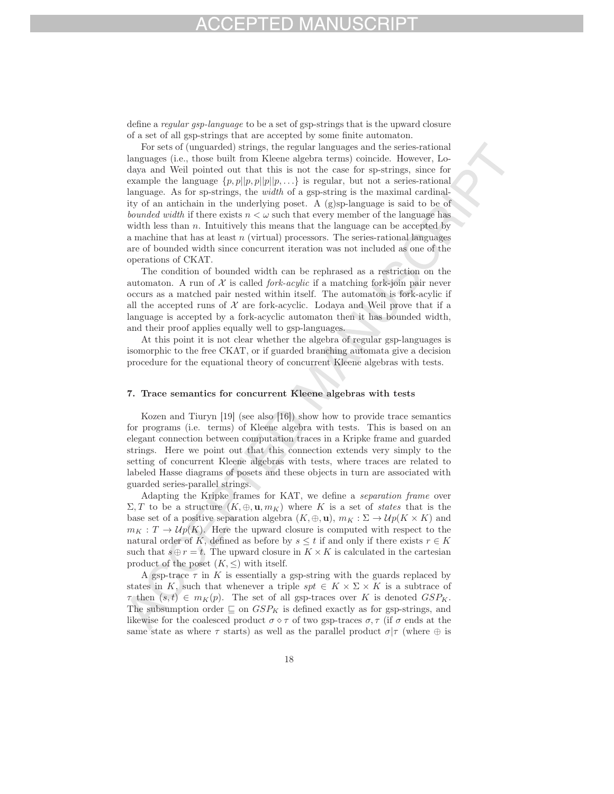define a *regular gsp-language* to be a set of gsp-strings that is the upward closure of a set of all gsp-strings that are accepted by some finite automaton.

For sets of (unguarded) strings, the regular languages and the series-rational languages (i.e., those built from Kleene algebra terms) coincide. However, Lodaya and Weil pointed out that this is not the case for sp-strings, since for example the language  $\{p, p||p, p||p||p, ...\}$  is regular, but not a series-rational language. As for sp-strings, the *width* of a gsp-string is the maximal cardinality of an antichain in the underlying poset. A (g)sp-language is said to be of *bounded width* if there exists  $n < \omega$  such that every member of the language has width less than  $n$ . Intuitively this means that the language can be accepted by a machine that has at least  $n$  (virtual) processors. The series-rational languages are of bounded width since concurrent iteration was not included as one of the operations of CKAT.

The condition of bounded width can be rephrased as a restriction on the automaton. A run of  $X$  is called *fork-acylic* if a matching fork-join pair never occurs as a matched pair nested within itself. The automaton is fork-acylic if all the accepted runs of  $\mathcal X$  are fork-acyclic. Lodaya and Weil prove that if a language is accepted by a fork-acyclic automaton then it has bounded width, and their proof applies equally well to gsp-languages.

At this point it is not clear whether the algebra of regular gsp-languages is isomorphic to the free CKAT, or if guarded branching automata give a decision procedure for the equational theory of concurrent Kleene algebras with tests.

### 7. Trace semantics for concurrent Kleene algebras with tests

Kozen and Tiuryn [19] (see also [16]) show how to provide trace semantics for programs (i.e. terms) of Kleene algebra with tests. This is based on an elegant connection between computation traces in a Kripke frame and guarded strings. Here we point out that this connection extends very simply to the setting of concurrent Kleene algebras with tests, where traces are related to labeled Hasse diagrams of posets and these objects in turn are associated with guarded series-parallel strings.

Adapting the Kripke frames for KAT, we define a *separation frame* over  $\Sigma, T$  to be a structure  $(K, \oplus, \mathbf{u}, m_K)$  where K is a set of *states* that is the base set of a positive separation algebra  $(K, \oplus, \mathbf{u})$ ,  $m_K : \Sigma \to \mathcal{U}p(K \times K)$  and  $m_K : T \to \mathcal{U}p(K)$ . Here the upward closure is computed with respect to the natural order of K, defined as before by  $s \leq t$  if and only if there exists  $r \in K$ such that  $s \oplus r = t$ . The upward closure in  $K \times K$  is calculated in the cartesian product of the poset  $(K, \leq)$  with itself.

A gsp-trace  $\tau$  in K is essentially a gsp-string with the guards replaced by states in K, such that whenever a triple  $spt \in K \times \Sigma \times K$  is a subtrace of  $\tau$  then  $(s,t) \in m_K(p)$ . The set of all gsp-traces over K is denoted  $GSP_K$ . The subsumption order  $\subseteq$  on  $GSP_K$  is defined exactly as for gsp-strings, and likewise for the coalesced product  $\sigma \diamond \tau$  of two gsp-traces  $\sigma, \tau$  (if  $\sigma$  ends at the same state as where  $\tau$  starts) as well as the parallel product  $\sigma|\tau$  (where  $\oplus$  is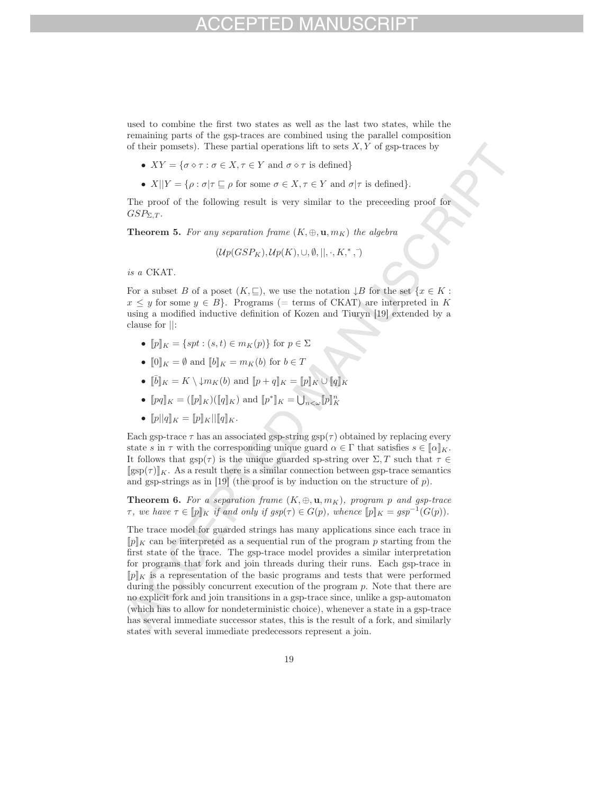used to combine the first two states as well as the last two states, while the remaining parts of the gsp-traces are combined using the parallel composition of their pomsets). These partial operations lift to sets  $X, Y$  of gsp-traces by

- $XY = \{ \sigma \diamond \tau : \sigma \in X, \tau \in Y \text{ and } \sigma \diamond \tau \text{ is defined} \}$
- $X||Y = \{\rho : \sigma | \tau \sqsubseteq \rho \text{ for some } \sigma \in X, \tau \in Y \text{ and } \sigma | \tau \text{ is defined}\}.$

The proof of the following result is very similar to the preceeding proof for  $GSP_{\Sigma,T}$ .

**Theorem 5.** For any separation frame  $(K, \oplus, \mathbf{u}, m_K)$  the algebra

$$
(\mathcal{U}p(GSP_{K}), \mathcal{U}p(K), \cup, \emptyset, ||, \cdot, K, *, \cdot)
$$

*is a* CKAT*.*

For a subset B of a poset  $(K, \subseteq)$ , we use the notation  $\downarrow B$  for the set  $\{x \in K :$  $x \leq y$  for some  $y \in B$ . Programs (= terms of CKAT) are interpreted in K using a modified inductive definition of Kozen and Tiuryn [19] extended by a clause for ||:

- $||p||_K = \{ spt : (s, t) \in m_K(p) \}$  for  $p \in \Sigma$
- $[0]_K = \emptyset$  and  $[b]_K = m_K(b)$  for  $b \in T$
- $\[\bar{b}\]_K = K \setminus \downarrow m_K(b)$  and  $\[\![p+q]\!]_K = \llbracket p \rrbracket_K \cup \llbracket q \rrbracket_K$
- $[pq]_K = ([p]_K)([q]_K)$  and  $[p^*]_K = \bigcup_{n < \omega} [p]_K^n$
- $[p||q]_K = [p]_K||[q]_K$ .

Each gsp-trace  $\tau$  has an associated gsp-string gsp( $\tau$ ) obtained by replacing every state s in  $\tau$  with the corresponding unique guard  $\alpha \in \Gamma$  that satisfies  $s \in [\![\alpha]\!]_K$ . It follows that  $gsp(\tau)$  is the unique guarded sp-string over  $\Sigma, T$  such that  $\tau \in$  $[\text{gsp}(\tau)]_K$ . As a result there is a similar connection between gsp-trace semantics and gsp-strings as in  $[19]$  (the proof is by induction on the structure of p).

**Theorem 6.** For a separation frame  $(K, \oplus, \mathbf{u}, m_K)$ , program p and gsp-trace  $\tau$ , we have  $\tau \in [p]_K$  *if and only if gsp*( $\tau$ )  $\in G(p)$ , whence  $[p]_K = gsp^{-1}(G(p))$ .

The trace model for guarded strings has many applications since each trace in  $[p]_K$  can be interpreted as a sequential run of the program p starting from the first state of the trace. The gsp-trace model provides a similar interpretation for programs that fork and join threads during their runs. Each gsp-trace in  $[p]_K$  is a representation of the basic programs and tests that were performed during the possibly concurrent execution of the program p. Note that there are no explicit fork and join transitions in a gsp-trace since, unlike a gsp-automaton (which has to allow for nondeterministic choice), whenever a state in a gsp-trace has several immediate successor states, this is the result of a fork, and similarly states with several immediate predecessors represent a join.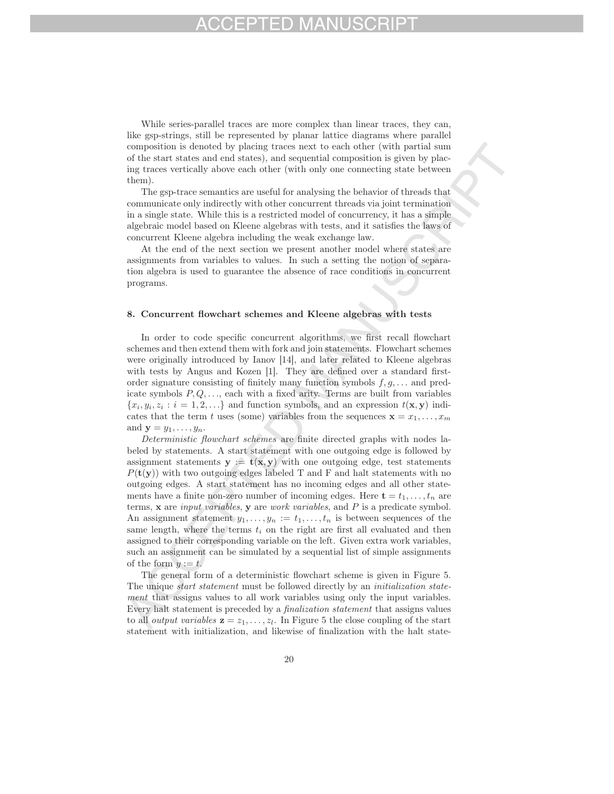While series-parallel traces are more complex than linear traces, they can, like gsp-strings, still be represented by planar lattice diagrams where parallel composition is denoted by placing traces next to each other (with partial sum of the start states and end states), and sequential composition is given by placing traces vertically above each other (with only one connecting state between them).

The gsp-trace semantics are useful for analysing the behavior of threads that communicate only indirectly with other concurrent threads via joint termination in a single state. While this is a restricted model of concurrency, it has a simple algebraic model based on Kleene algebras with tests, and it satisfies the laws of concurrent Kleene algebra including the weak exchange law.

At the end of the next section we present another model where states are assignments from variables to values. In such a setting the notion of separation algebra is used to guarantee the absence of race conditions in concurrent programs.

### 8. Concurrent flowchart schemes and Kleene algebras with tests

In order to code specific concurrent algorithms, we first recall flowchart schemes and then extend them with fork and join statements. Flowchart schemes were originally introduced by Ianov [14], and later related to Kleene algebras with tests by Angus and Kozen [1]. They are defined over a standard firstorder signature consisting of finitely many function symbols  $f, g, \ldots$  and predicate symbols  $P, Q, \ldots$ , each with a fixed arity. Terms are built from variables  ${x_i, y_i, z_i : i = 1, 2, \ldots}$  and function symbols, and an expression  $t(\mathbf{x}, \mathbf{y})$  indicates that the term t uses (some) variables from the sequences  $\mathbf{x} = x_1, \ldots, x_m$ and  $\mathbf{y} = y_1, \ldots, y_n$ .

*Deterministic flowchart schemes* are finite directed graphs with nodes labeled by statements. A start statement with one outgoing edge is followed by assignment statements  $y := t(x, y)$  with one outgoing edge, test statements  $P(\mathbf{t}(\mathbf{y}))$  with two outgoing edges labeled T and F and halt statements with no outgoing edges. A start statement has no incoming edges and all other statements have a finite non-zero number of incoming edges. Here  $\mathbf{t} = t_1, \ldots, t_n$  are terms, **x** are *input variables*, **y** are *work variables*, and P is a predicate symbol. An assignment statement  $y_1, \ldots, y_n := t_1, \ldots, t_n$  is between sequences of the same length, where the terms  $t_i$  on the right are first all evaluated and then assigned to their corresponding variable on the left. Given extra work variables, such an assignment can be simulated by a sequential list of simple assignments of the form  $y := t$ .

The general form of a deterministic flowchart scheme is given in Figure 5. The unique *start statement* must be followed directly by an *initialization statement* that assigns values to all work variables using only the input variables. Every halt statement is preceded by a *finalization statement* that assigns values to all *output variables*  $z = z_1, \ldots, z_l$ . In Figure 5 the close coupling of the start statement with initialization, and likewise of finalization with the halt state-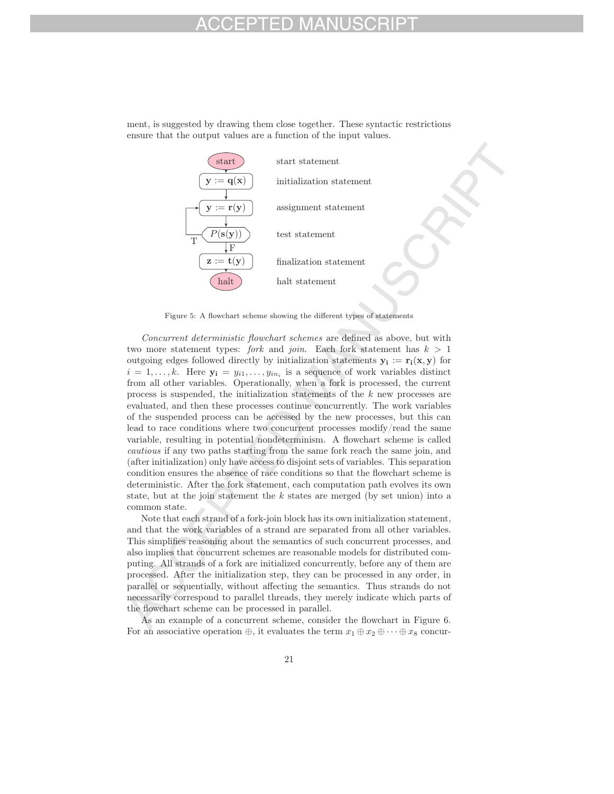ment, is suggested by drawing them close together. These syntactic restrictions ensure that the output values are a function of the input values.



Figure 5: A flowchart scheme showing the different types of statements

*Concurrent deterministic flowchart schemes* are defined as above, but with two more statement types: *fork* and *join*. Each fork statement has  $k > 1$ outgoing edges followed directly by initialization statements  $y_i := r_i(x, y)$  for  $i = 1, \ldots, k$ . Here  $y_i = y_{i1}, \ldots, y_{in_i}$  is a sequence of work variables distinct from all other variables. Operationally, when a fork is processed, the current process is suspended, the initialization statements of the k new processes are evaluated, and then these processes continue concurrently. The work variables of the suspended process can be accessed by the new processes, but this can lead to race conditions where two concurrent processes modify/read the same variable, resulting in potential nondeterminism. A flowchart scheme is called *cautious* if any two paths starting from the same fork reach the same join, and (after initialization) only have access to disjoint sets of variables. This separation condition ensures the absence of race conditions so that the flowchart scheme is deterministic. After the fork statement, each computation path evolves its own state, but at the join statement the  $k$  states are merged (by set union) into a common state.

Note that each strand of a fork-join block has its own initialization statement, and that the work variables of a strand are separated from all other variables. This simplifies reasoning about the semantics of such concurrent processes, and also implies that concurrent schemes are reasonable models for distributed computing. All strands of a fork are initialized concurrently, before any of them are processed. After the initialization step, they can be processed in any order, in parallel or sequentially, without affecting the semantics. Thus strands do not necessarily correspond to parallel threads, they merely indicate which parts of the flowchart scheme can be processed in parallel.

As an example of a concurrent scheme, consider the flowchart in Figure 6. For an associative operation  $\oplus$ , it evaluates the term  $x_1 \oplus x_2 \oplus \cdots \oplus x_8$  concur-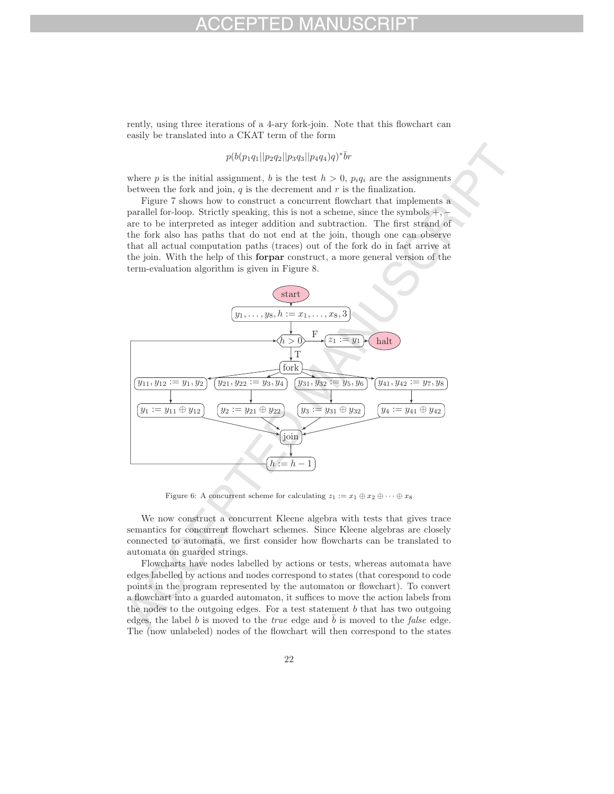rently, using three iterations of a 4-ary fork-join. Note that this flowchart can easily be translated into a CKAT term of the form

# $p(b(p_1q_1||p_2q_2||p_3q_3||p_4q_4)q)^*$ br

where p is the initial assignment, b is the test  $h > 0$ ,  $p_i q_i$  are the assignments between the fork and join,  $q$  is the decrement and  $r$  is the finalization.

Figure 7 shows how to construct a concurrent flowchart that implements a parallel for-loop. Strictly speaking, this is not a scheme, since the symbols  $+,$ are to be interpreted as integer addition and subtraction. The first strand of the fork also has paths that do not end at the join, though one can observe that all actual computation paths (traces) out of the fork do in fact arrive at the join. With the help of this forpar construct, a more general version of the term-evaluation algorithm is given in Figure 8.



Figure 6: A concurrent scheme for calculating  $z_1 := x_1 \oplus x_2 \oplus \cdots \oplus x_8$ 

We now construct a concurrent Kleene algebra with tests that gives trace semantics for concurrent flowchart schemes. Since Kleene algebras are closely connected to automata, we first consider how flowcharts can be translated to automata on guarded strings.

Flowcharts have nodes labelled by actions or tests, whereas automata have edges labelled by actions and nodes correspond to states (that corespond to code points in the program represented by the automaton or flowchart). To convert a flowchart into a guarded automaton, it suffices to move the action labels from the nodes to the outgoing edges. For a test statement  $b$  that has two outgoing edges, the label b is moved to the *true* edge and  $\bar{b}$  is moved to the *false* edge. The (now unlabeled) nodes of the flowchart will then correspond to the states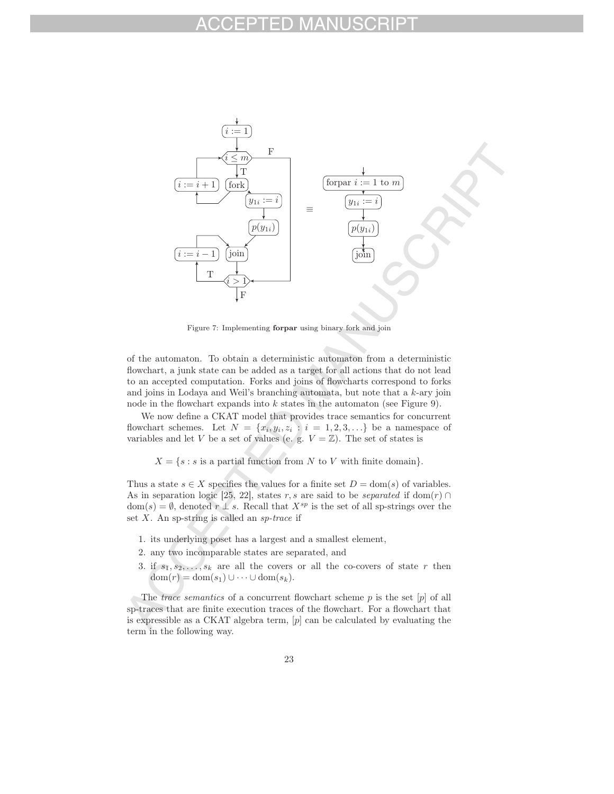

Figure 7: Implementing forpar using binary fork and join

of the automaton. To obtain a deterministic automaton from a deterministic flowchart, a junk state can be added as a target for all actions that do not lead to an accepted computation. Forks and joins of flowcharts correspond to forks and joins in Lodaya and Weil's branching automata, but note that a k-ary join node in the flowchart expands into  $k$  states in the automaton (see Figure 9).

We now define a CKAT model that provides trace semantics for concurrent flowchart schemes. Let  $N = \{x_i, y_i, z_i : i = 1, 2, 3, \ldots\}$  be a namespace of variables and let V be a set of values (e. g.  $V = \mathbb{Z}$ ). The set of states is

 $X = \{s : s \text{ is a partial function from } N \text{ to } V \text{ with finite domain}\}.$ 

Thus a state  $s \in X$  specifies the values for a finite set  $D = \text{dom}(s)$  of variables. As in separation logic [25, 22], states r, s are said to be *separated* if dom(r) ∩  $dom(s) = \emptyset$ , denoted  $r \perp s$ . Recall that  $X^{sp}$  is the set of all sp-strings over the set X. An sp-string is called an *sp-trace* if

- 1. its underlying poset has a largest and a smallest element,
- 2. any two incomparable states are separated, and
- 3. if  $s_1, s_2, \ldots, s_k$  are all the covers or all the co-covers of state r then  $dom(r) = dom(s_1) \cup \cdots \cup dom(s_k).$

The *trace semantics* of a concurrent flowchart scheme p is the set [p] of all sp-traces that are finite execution traces of the flowchart. For a flowchart that is expressible as a CKAT algebra term, [p] can be calculated by evaluating the term in the following way.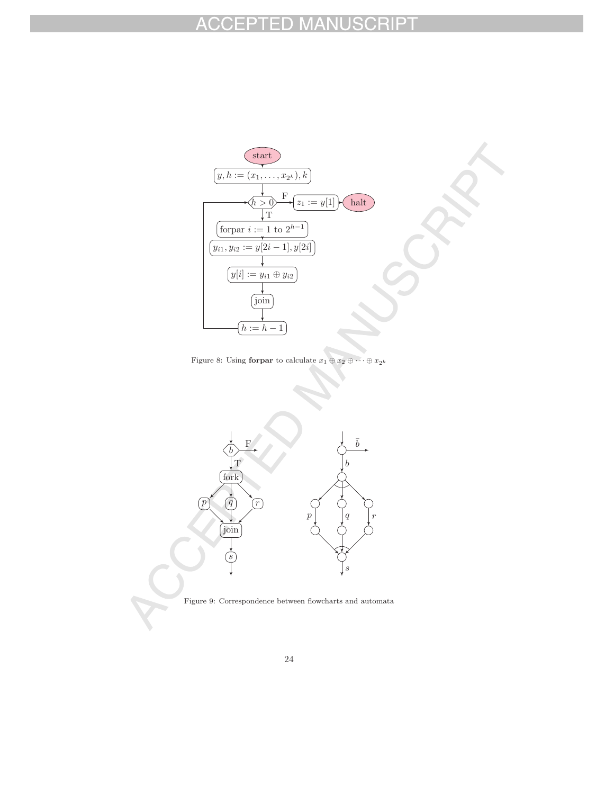### ACCEPTED MA SCRII PT IU.



Figure 8: Using forpar to calculate  $x_1 \oplus x_2 \oplus \cdots \oplus x_{2^k}$ 



Figure 9: Correspondence between flowcharts and automata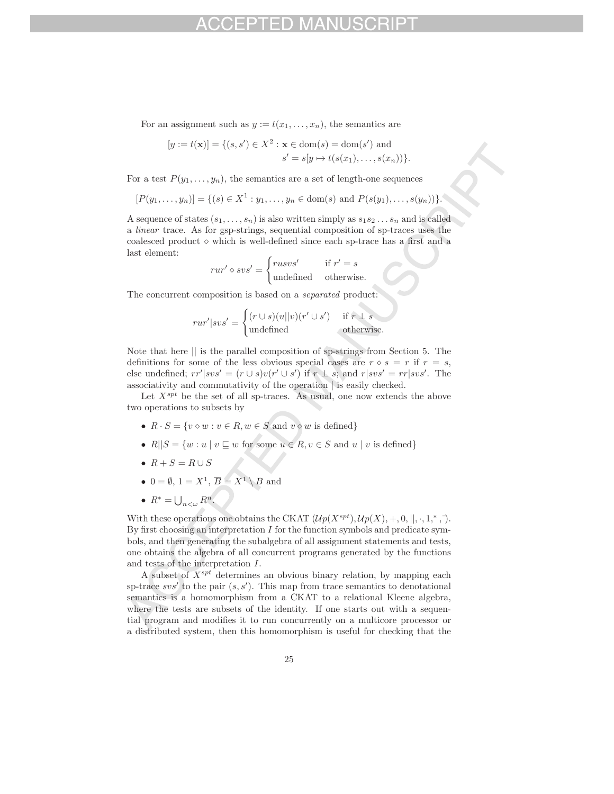For an assignment such as  $y := t(x_1, \ldots, x_n)$ , the semantics are

$$
[y := t(\mathbf{x})] = \{ (s, s') \in X^2 : \mathbf{x} \in \text{dom}(s) = \text{dom}(s') \text{ and } s' = s[y \mapsto t(s(x_1), \dots, s(x_n)) \}.
$$

For a test  $P(y_1,...,y_n)$ , the semantics are a set of length-one sequences

$$
[P(y_1,\ldots,y_n)] = \{(s) \in X^1 : y_1,\ldots,y_n \in \text{dom}(s) \text{ and } P(s(y_1),\ldots,s(y_n))\}.
$$

A sequence of states  $(s_1,\ldots,s_n)$  is also written simply as  $s_1s_2\ldots s_n$  and is called a *linear* trace. As for gsp-strings, sequential composition of sp-traces uses the coalesced product  $\diamond$  which is well-defined since each sp-trace has a first and a last element:

$$
rur' \diamond svs' = \begin{cases} rusvs' & \text{if } r' = s \\ \text{undefined} & \text{otherwise.} \end{cases}
$$

The concurrent composition is based on a *separated* product:

$$
rur'|svs' = \begin{cases} (r \cup s)(u||v)(r' \cup s') & \text{if } r \perp s \\ \text{undefined} & \text{otherwise.} \end{cases}
$$

Note that here || is the parallel composition of sp-strings from Section 5. The definitions for some of the less obvious special cases are  $r \circ s = r$  if  $r = s$ , else undefined;  $rr'|svs' = (r \cup s)v(r' \cup s')$  if  $r \perp s$ ; and  $r|svs' = rr|svs'$ . The associativity and commutativity of the operation | is easily checked.

Let  $X^{spt}$  be the set of all sp-traces. As usual, one now extends the above two operations to subsets by

- $R \cdot S = \{v \diamond w : v \in R, w \in S \text{ and } v \diamond w \text{ is defined}\}\$
- $R||S = \{w : u \mid v \sqsubseteq w \text{ for some } u \in R, v \in S \text{ and } u \mid v \text{ is defined}\}\$
- $R + S = R \cup S$
- $0 = \emptyset$ ,  $1 = X^1$ ,  $\overline{B} = X^1 \setminus B$  and
- $R^* = \bigcup_{n < \omega} R^n$ .

With these operations one obtains the CKAT  $(\mathcal{U}p(X^{spt}), \mathcal{U}p(X), +, 0, ||, \cdot, 1, *, \cdot)$ . By first choosing an interpretation  $I$  for the function symbols and predicate symbols, and then generating the subalgebra of all assignment statements and tests, one obtains the algebra of all concurrent programs generated by the functions and tests of the interpretation I.

A subset of  $X^{spt}$  determines an obvious binary relation, by mapping each sp-trace  $svs'$  to the pair  $(s, s')$ . This map from trace semantics to denotational semantics is a homomorphism from a CKAT to a relational Kleene algebra, where the tests are subsets of the identity. If one starts out with a sequential program and modifies it to run concurrently on a multicore processor or a distributed system, then this homomorphism is useful for checking that the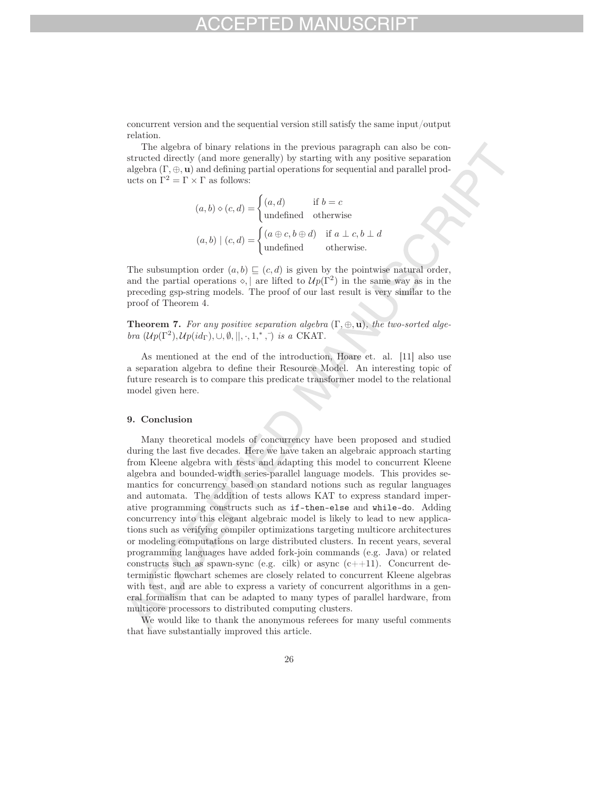concurrent version and the sequential version still satisfy the same input/output relation.

The algebra of binary relations in the previous paragraph can also be constructed directly (and more generally) by starting with any positive separation algebra  $(\Gamma, \oplus, \mathbf{u})$  and defining partial operations for sequential and parallel products on  $\Gamma^2 = \Gamma \times \Gamma$  as follows:

$$
(a, b) \diamond (c, d) = \begin{cases} (a, d) & \text{if } b = c \\ \text{undefined} & \text{otherwise} \end{cases}
$$

$$
(a, b) | (c, d) = \begin{cases} (a \oplus c, b \oplus d) & \text{if } a \perp c, b \perp d \\ \text{undefined} & \text{otherwise.} \end{cases}
$$

The subsumption order  $(a, b) \sqsubseteq (c, d)$  is given by the pointwise natural order, and the partial operations  $\diamond$ , | are lifted to  $\mathcal{U}p(\Gamma^2)$  in the same way as in the preceding gsp-string models. The proof of our last result is very similar to the proof of Theorem 4.

Theorem 7. *For any positive separation algebra* (Γ, ⊕, **u**)*, the two-sorted algebra*  $(\mathcal{U}p(\Gamma^2), \mathcal{U}p(id_{\Gamma}), \cup, \emptyset, \|, \cdot, 1, \cdot, \cdot)$  *is a* CKAT.

As mentioned at the end of the introduction, Hoare et. al. [11] also use a separation algebra to define their Resource Model. An interesting topic of future research is to compare this predicate transformer model to the relational model given here.

### 9. Conclusion

Many theoretical models of concurrency have been proposed and studied during the last five decades. Here we have taken an algebraic approach starting from Kleene algebra with tests and adapting this model to concurrent Kleene algebra and bounded-width series-parallel language models. This provides semantics for concurrency based on standard notions such as regular languages and automata. The addition of tests allows KAT to express standard imperative programming constructs such as if-then-else and while-do. Adding concurrency into this elegant algebraic model is likely to lead to new applications such as verifying compiler optimizations targeting multicore architectures or modeling computations on large distributed clusters. In recent years, several programming languages have added fork-join commands (e.g. Java) or related constructs such as spawn-sync (e.g. cilk) or async  $(c+1)$ . Concurrent deterministic flowchart schemes are closely related to concurrent Kleene algebras with test, and are able to express a variety of concurrent algorithms in a general formalism that can be adapted to many types of parallel hardware, from multicore processors to distributed computing clusters.

We would like to thank the anonymous referees for many useful comments that have substantially improved this article.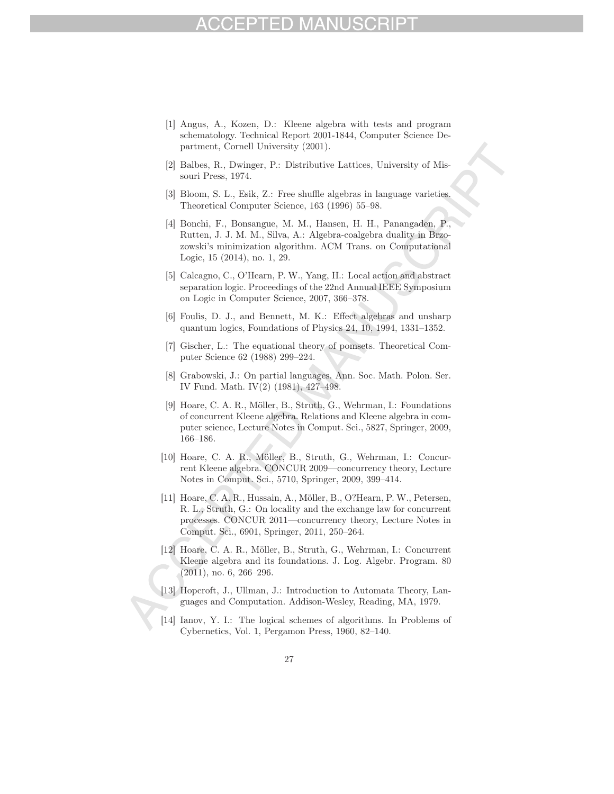- [1] Angus, A., Kozen, D.: Kleene algebra with tests and program schematology. Technical Report 2001-1844, Computer Science Department, Cornell University (2001).
- [2] Balbes, R., Dwinger, P.: Distributive Lattices, University of Missouri Press, 1974.
- [3] Bloom, S. L., Esik, Z.: Free shuffle algebras in language varieties. Theoretical Computer Science, 163 (1996) 55–98.
- [4] Bonchi, F., Bonsangue, M. M., Hansen, H. H., Panangaden, P., Rutten, J. J. M. M., Silva, A.: Algebra-coalgebra duality in Brzozowski's minimization algorithm. ACM Trans. on Computational Logic, 15 (2014), no. 1, 29.
- [5] Calcagno, C., O'Hearn, P. W., Yang, H.: Local action and abstract separation logic. Proceedings of the 22nd Annual IEEE Symposium on Logic in Computer Science, 2007, 366–378.
- [6] Foulis, D. J., and Bennett, M. K.: Effect algebras and unsharp quantum logics, Foundations of Physics 24, 10, 1994, 1331–1352.
- [7] Gischer, L.: The equational theory of pomsets. Theoretical Computer Science 62 (1988) 299–224.
- [8] Grabowski, J.: On partial languages. Ann. Soc. Math. Polon. Ser. IV Fund. Math. IV(2) (1981), 427–498.
- [9] Hoare, C. A. R., Möller, B., Struth, G., Wehrman, I.: Foundations of concurrent Kleene algebra. Relations and Kleene algebra in computer science, Lecture Notes in Comput. Sci., 5827, Springer, 2009, 166–186.
- [10] Hoare, C. A. R., Möller, B., Struth, G., Wehrman, I.: Concurrent Kleene algebra. CONCUR 2009—concurrency theory, Lecture Notes in Comput. Sci., 5710, Springer, 2009, 399–414.
- [11] Hoare, C. A. R., Hussain, A., Möller, B., O?Hearn, P. W., Petersen, R. L., Struth, G.: On locality and the exchange law for concurrent processes. CONCUR 2011—concurrency theory, Lecture Notes in Comput. Sci., 6901, Springer, 2011, 250–264.
- [12] Hoare, C. A. R., Möller, B., Struth, G., Wehrman, I.: Concurrent Kleene algebra and its foundations. J. Log. Algebr. Program. 80 (2011), no. 6, 266–296.
- [13] Hopcroft, J., Ullman, J.: Introduction to Automata Theory, Languages and Computation. Addison-Wesley, Reading, MA, 1979.
- [14] Ianov, Y. I.: The logical schemes of algorithms. In Problems of Cybernetics, Vol. 1, Pergamon Press, 1960, 82–140.